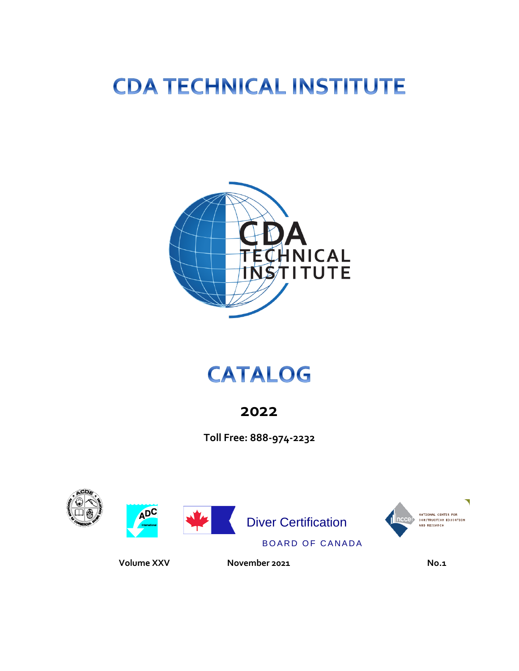# **CDA TECHNICAL INSTITUTE**



## **CATALOG**

## **2022**

**Toll Free: 888-974-2232**



 **Volume XXV November 2021 No.1**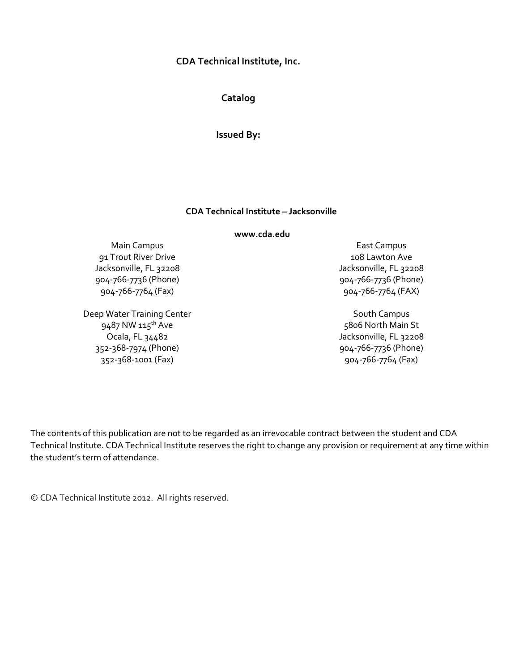#### **CDA Technical Institute, Inc.**

**Catalog** 

**Issued By:**

#### **CDA Technical Institute – Jacksonville**

**www.cda.edu**

Main Campus 91 Trout River Drive Jacksonville, FL 32208 904-766-7736 (Phone) 904-766-7764 (Fax)

Deep Water Training Center 9487 NW 115<sup>th</sup> Ave Ocala, FL 34482 352-368-7974 (Phone) 352-368-1001 (Fax)

East Campus 108 Lawton Ave Jacksonville, FL 32208 904-766-7736 (Phone) 904-766-7764 (FAX)

South Campus 5806 North Main St Jacksonville, FL 32208 904-766-7736 (Phone) 904-766-7764 (Fax)

The contents of this publication are not to be regarded as an irrevocable contract between the student and CDA Technical Institute. CDA Technical Institute reserves the right to change any provision or requirement at any time within the student's term of attendance.

© CDA Technical Institute 2012. All rights reserved.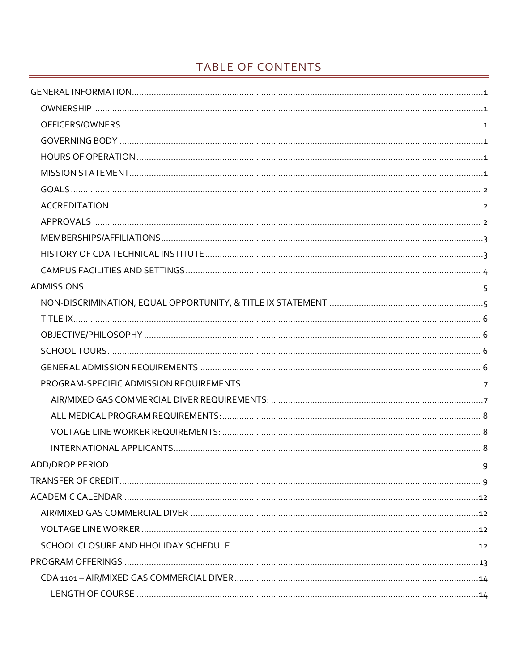## TABLE OF CONTENTS

| <b>ADD/DROP PERIOD</b> | 9 |
|------------------------|---|
|                        |   |
|                        |   |
|                        |   |
|                        |   |
|                        |   |
|                        |   |
|                        |   |
|                        |   |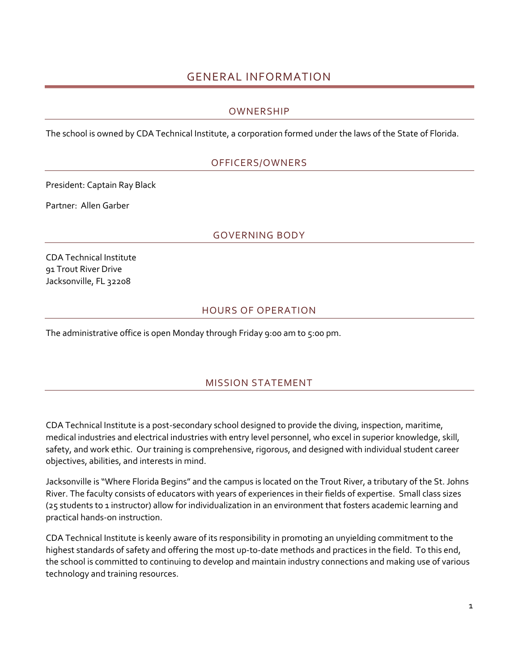## GENERAL INFORMATION

## OWNERSHIP

<span id="page-6-2"></span><span id="page-6-1"></span><span id="page-6-0"></span>The school is owned by CDA Technical Institute, a corporation formed under the laws of the State of Florida.

## OFFICERS/OWNERS

President: Captain Ray Black

<span id="page-6-3"></span>Partner: Allen Garber

#### GOVERNING BODY

CDA Technical Institute 91 Trout River Drive Jacksonville, FL 32208

## HOURS OF OPERATION

<span id="page-6-5"></span><span id="page-6-4"></span>The administrative office is open Monday through Friday 9:00 am to 5:00 pm.

## MISSION STATEMENT

CDA Technical Institute is a post-secondary school designed to provide the diving, inspection, maritime, medical industries and electrical industries with entry level personnel, who excel in superior knowledge, skill, safety, and work ethic. Our training is comprehensive, rigorous, and designed with individual student career objectives, abilities, and interests in mind.

Jacksonville is "Where Florida Begins" and the campus is located on the Trout River, a tributary of the St. Johns River. The faculty consists of educators with years of experiences in their fields of expertise. Small class sizes (25 students to 1 instructor) allow for individualization in an environment that fosters academic learning and practical hands-on instruction.

CDA Technical Institute is keenly aware of its responsibility in promoting an unyielding commitment to the highest standards of safety and offering the most up-to-date methods and practices in the field. To this end, the school is committed to continuing to develop and maintain industry connections and making use of various technology and training resources.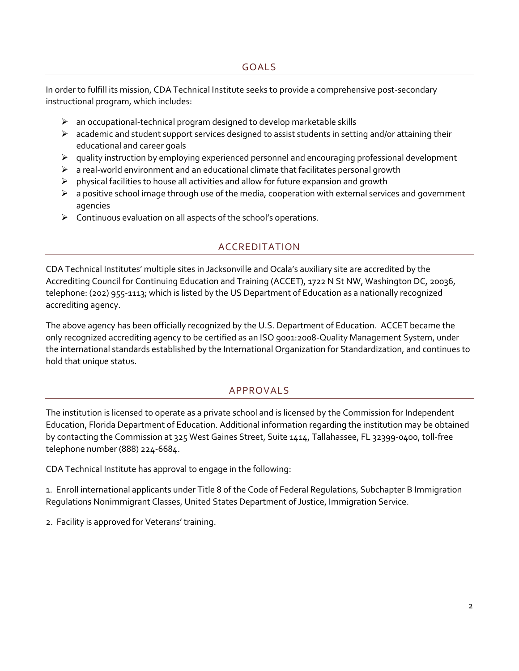<span id="page-7-0"></span>In order to fulfill its mission, CDA Technical Institute seeks to provide a comprehensive post-secondary instructional program, which includes:

- $\triangleright$  an occupational-technical program designed to develop marketable skills
- $\triangleright$  academic and student support services designed to assist students in setting and/or attaining their educational and career goals
- $\triangleright$  quality instruction by employing experienced personnel and encouraging professional development
- $\triangleright$  a real-world environment and an educational climate that facilitates personal growth
- $\triangleright$  physical facilities to house all activities and allow for future expansion and growth
- $\triangleright$  a positive school image through use of the media, cooperation with external services and government agencies
- <span id="page-7-1"></span> $\triangleright$  Continuous evaluation on all aspects of the school's operations.

## ACCREDITATION

CDA Technical Institutes' multiple sites in Jacksonville and Ocala's auxiliary site are accredited by the Accrediting Council for Continuing Education and Training (ACCET), 1722 N St NW, Washington DC, 20036, telephone: (202) 955-1113; which is listed by the US Department of Education as a nationally recognized accrediting agency.

The above agency has been officially recognized by the U.S. Department of Education. ACCET became the only recognized accrediting agency to be certified as an ISO 9001:2008-Quality Management System, under the international standards established by the International Organization for Standardization, and continues to hold that unique status.

## APPROVALS

<span id="page-7-2"></span>The institution is licensed to operate as a private school and is licensed by the Commission for Independent Education, Florida Department of Education. Additional information regarding the institution may be obtained by contacting the Commission at 325 West Gaines Street, Suite 1414, Tallahassee, FL 32399-0400, toll-free telephone number (888) 224-6684.

CDA Technical Institute has approval to engage in the following:

1. Enroll international applicants under Title 8 of the Code of Federal Regulations, Subchapter B Immigration Regulations Nonimmigrant Classes, United States Department of Justice, Immigration Service.

2. Facility is approved for Veterans' training.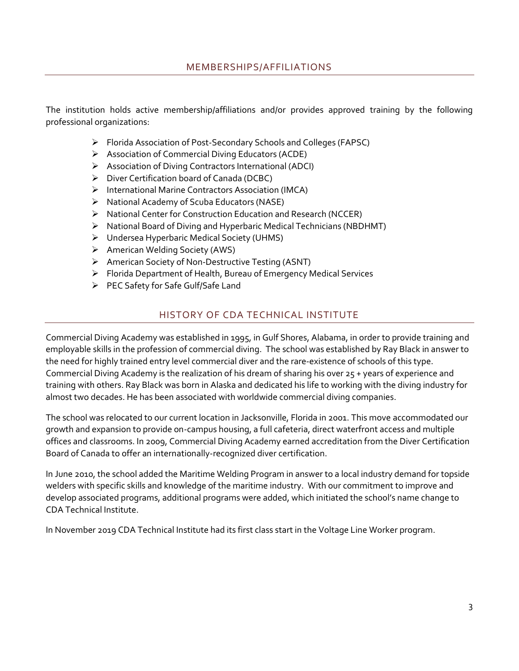<span id="page-8-0"></span>The institution holds active membership/affiliations and/or provides approved training by the following professional organizations:

- ➢ Florida Association of Post-Secondary Schools and Colleges (FAPSC)
- ➢ Association of Commercial Diving Educators (ACDE)
- ➢ Association of Diving Contractors International (ADCI)
- ➢ Diver Certification board of Canada (DCBC)
- ➢ International Marine Contractors Association (IMCA)
- ➢ National Academy of Scuba Educators (NASE)
- ➢ National Center for Construction Education and Research (NCCER)
- ➢ National Board of Diving and Hyperbaric Medical Technicians (NBDHMT)
- ➢ Undersea Hyperbaric Medical Society (UHMS)
- ➢ American Welding Society (AWS)
- ➢ American Society of Non-Destructive Testing (ASNT)
- ➢ Florida Department of Health, Bureau of Emergency Medical Services
- ➢ PEC Safety for Safe Gulf/Safe Land

## HISTORY OF CDA TECHNICAL INSTITUTE

<span id="page-8-1"></span>Commercial Diving Academy was established in 1995, in Gulf Shores, Alabama, in order to provide training and employable skills in the profession of commercial diving. The school was established by Ray Black in answer to the need for highly trained entry level commercial diver and the rare-existence of schools of this type. Commercial Diving Academy is the realization of his dream of sharing his over 25 + years of experience and training with others. Ray Black was born in Alaska and dedicated his life to working with the diving industry for almost two decades. He has been associated with worldwide commercial diving companies.

The school was relocated to our current location in Jacksonville, Florida in 2001. This move accommodated our growth and expansion to provide on-campus housing, a full cafeteria, direct waterfront access and multiple offices and classrooms. In 2009, Commercial Diving Academy earned accreditation from the Diver Certification Board of Canada to offer an internationally-recognized diver certification.

In June 2010, the school added the Maritime Welding Program in answer to a local industry demand for topside welders with specific skills and knowledge of the maritime industry. With our commitment to improve and develop associated programs, additional programs were added, which initiated the school's name change to CDA Technical Institute.

In November 2019 CDA Technical Institute had its first class start in the Voltage Line Worker program.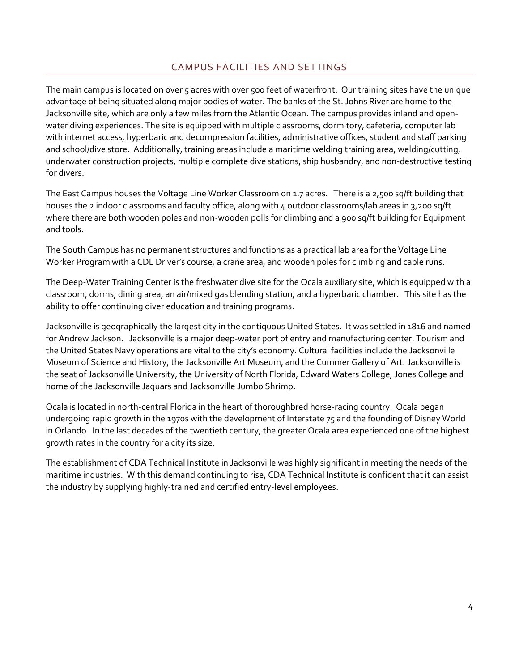## CAMPUS FACILITIES AND SETTINGS

<span id="page-9-0"></span>The main campus is located on over 5 acres with over 500 feet of waterfront. Our training sites have the unique advantage of being situated along major bodies of water. The banks of the St. Johns River are home to the Jacksonville site, which are only a few miles from the Atlantic Ocean. The campus provides inland and openwater diving experiences. The site is equipped with multiple classrooms, dormitory, cafeteria, computer lab with internet access, hyperbaric and decompression facilities, administrative offices, student and staff parking and school/dive store. Additionally, training areas include a maritime welding training area, welding/cutting, underwater construction projects, multiple complete dive stations, ship husbandry, and non-destructive testing for divers.

The East Campus houses the Voltage Line Worker Classroom on 1.7 acres. There is a 2,500 sq/ft building that houses the 2 indoor classrooms and faculty office, along with 4 outdoor classrooms/lab areas in 3,200 sq/ft where there are both wooden poles and non-wooden polls for climbing and a 900 sq/ft building for Equipment and tools.

The South Campus has no permanent structures and functions as a practical lab area for the Voltage Line Worker Program with a CDL Driver's course, a crane area, and wooden poles for climbing and cable runs.

The Deep-Water Training Center is the freshwater dive site for the Ocala auxiliary site, which is equipped with a classroom, dorms, dining area, an air/mixed gas blending station, and a hyperbaric chamber. This site has the ability to offer continuing diver education and training programs.

Jacksonville is geographically the largest city in the contiguous United States. It was settled in 1816 and named for Andrew Jackson. Jacksonville is a major deep-water port of entry and manufacturing center. Tourism and the United States Navy operations are vital to the city's economy. Cultural facilities include the Jacksonville Museum of Science and History, the Jacksonville Art Museum, and the Cummer Gallery of Art. Jacksonville is the seat of Jacksonville University, the University of North Florida, Edward Waters College, Jones College and home of the Jacksonville Jaguars and Jacksonville Jumbo Shrimp.

Ocala is located in north-central Florida in the heart of thoroughbred horse-racing country. Ocala began undergoing rapid growth in the 1970s with the development of Interstate 75 and the founding of Disney World in Orlando. In the last decades of the twentieth century, the greater Ocala area experienced one of the highest growth rates in the country for a city its size.

The establishment of CDA Technical Institute in Jacksonville was highly significant in meeting the needs of the maritime industries. With this demand continuing to rise, CDA Technical Institute is confident that it can assist the industry by supplying highly-trained and certified entry-level employees.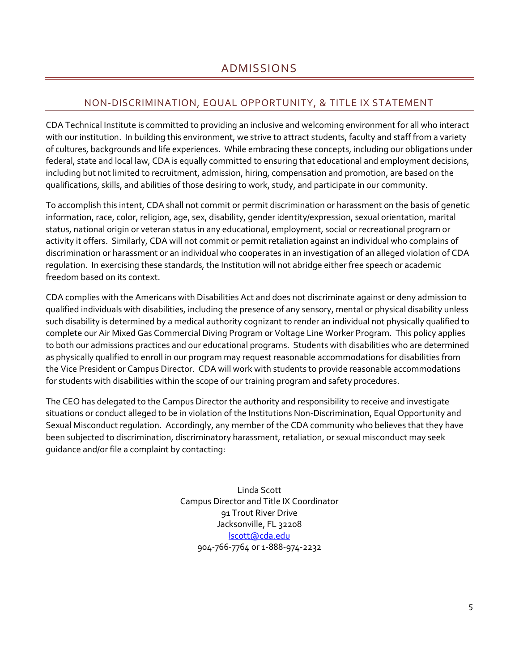## <span id="page-10-0"></span>NON-DISCRIMINATION, EQUAL OPPORTUNITY, & TITLE IX STATEMENT

<span id="page-10-1"></span>CDA Technical Institute is committed to providing an inclusive and welcoming environment for all who interact with our institution. In building this environment, we strive to attract students, faculty and staff from a variety of cultures, backgrounds and life experiences. While embracing these concepts, including our obligations under federal, state and local law, CDA is equally committed to ensuring that educational and employment decisions, including but not limited to recruitment, admission, hiring, compensation and promotion, are based on the qualifications, skills, and abilities of those desiring to work, study, and participate in our community.

To accomplish this intent, CDA shall not commit or permit discrimination or harassment on the basis of genetic information, race, color, religion, age, sex, disability, gender identity/expression, sexual orientation, marital status, national origin or veteran status in any educational, employment, social or recreational program or activity it offers. Similarly, CDA will not commit or permit retaliation against an individual who complains of discrimination or harassment or an individual who cooperates in an investigation of an alleged violation of CDA regulation. In exercising these standards, the Institution will not abridge either free speech or academic freedom based on its context.

CDA complies with the Americans with Disabilities Act and does not discriminate against or deny admission to qualified individuals with disabilities, including the presence of any sensory, mental or physical disability unless such disability is determined by a medical authority cognizant to render an individual not physically qualified to complete our Air Mixed Gas Commercial Diving Program or Voltage Line Worker Program. This policy applies to both our admissions practices and our educational programs. Students with disabilities who are determined as physically qualified to enroll in our program may request reasonable accommodations for disabilities from the Vice President or Campus Director. CDA will work with students to provide reasonable accommodations for students with disabilities within the scope of our training program and safety procedures.

The CEO has delegated to the Campus Director the authority and responsibility to receive and investigate situations or conduct alleged to be in violation of the Institutions Non-Discrimination, Equal Opportunity and Sexual Misconduct regulation. Accordingly, any member of the CDA community who believes that they have been subjected to discrimination, discriminatory harassment, retaliation, or sexual misconduct may seek guidance and/or file a complaint by contacting:

> Linda Scott Campus Director and Title IX Coordinator 91 Trout River Drive Jacksonville, FL 32208 [lscott@cda.edu](mailto:lscott@cda.edu) 904-766-7764 or 1-888-974-2232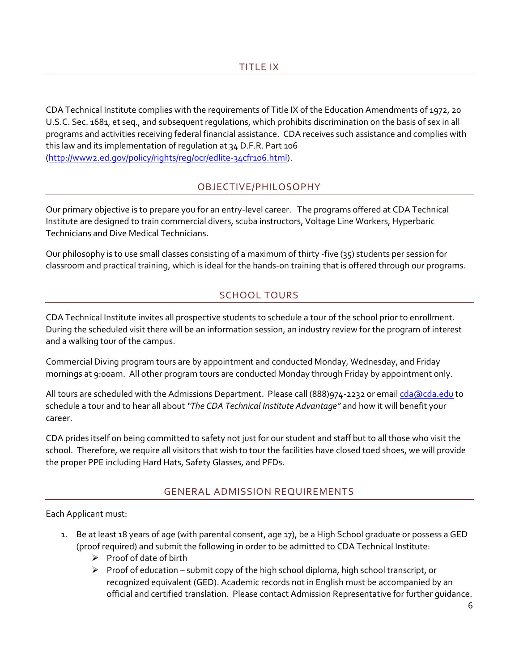<span id="page-11-0"></span>CDA Technical Institute complies with the requirements of Title IX of the Education Amendments of 1972, 20 U.S.C. Sec. 1681, et seq., and subsequent regulations, which prohibits discrimination on the basis of sex in all programs and activities receiving federal financial assistance. CDA receives such assistance and complies with this law and its implementation of regulation at 34 D.F.R. Part 106 [\(http://www2.ed.gov/policy/rights/reg/ocr/edlite-34cfr106.html\)](http://www2.ed.gov/policy/rights/reg/ocr/edlite-34cfr106.html).

## OBJECTIVE/PHILOSOPHY

<span id="page-11-1"></span>Our primary objective is to prepare you for an entry-level career. The programs offered at CDA Technical Institute are designed to train commercial divers, scuba instructors, Voltage Line Workers, Hyperbaric Technicians and Dive Medical Technicians.

<span id="page-11-2"></span>Our philosophy is to use small classes consisting of a maximum of thirty -five (35) students per session for classroom and practical training, which is ideal for the hands-on training that is offered through our programs.

## SCHOOL TOURS

CDA Technical Institute invites all prospective students to schedule a tour of the school prior to enrollment. During the scheduled visit there will be an information session, an industry review for the program of interest and a walking tour of the campus.

Commercial Diving program tours are by appointment and conducted Monday, Wednesday, and Friday mornings at 9:00am. All other program tours are conducted Monday through Friday by appointment only.

All tours are scheduled with the Admissions Department. Please call (888)974-2232 or email [cda@cda.edu](mailto:cda@cda.edu) to schedule a tour and to hear all about *"The CDA Technical Institute Advantage"* and how it will benefit your career.

CDA prides itself on being committed to safety not just for our student and staff but to all those who visit the school. Therefore, we require all visitors that wish to tour the facilities have closed toed shoes, we will provide the proper PPE including Hard Hats, Safety Glasses, and PFDs.

## GENERAL ADMISSION REQUIREMENTS

<span id="page-11-3"></span>Each Applicant must:

- 1. Be at least 18 years of age (with parental consent, age 17), be a High School graduate or possess a GED (proof required) and submit the following in order to be admitted to CDA Technical Institute:
	- ➢ Proof of date of birth
	- $\triangleright$  Proof of education submit copy of the high school diploma, high school transcript, or recognized equivalent (GED). Academic records not in English must be accompanied by an official and certified translation. Please contact Admission Representative for further guidance.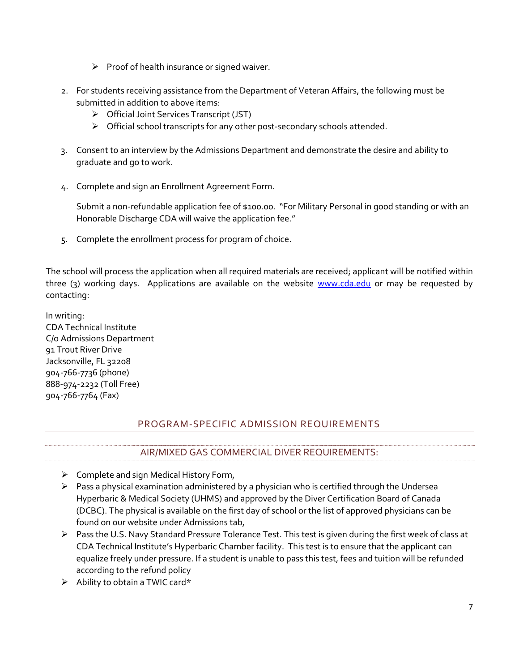- $\triangleright$  Proof of health insurance or signed waiver.
- 2. For students receiving assistance from the Department of Veteran Affairs, the following must be submitted in addition to above items:
	- ➢ Official Joint Services Transcript (JST)
	- ➢ Official school transcripts for any other post-secondary schools attended.
- 3. Consent to an interview by the Admissions Department and demonstrate the desire and ability to graduate and go to work.
- 4. Complete and sign an Enrollment Agreement Form.

Submit a non-refundable application fee of \$100.00. "For Military Personal in good standing or with an Honorable Discharge CDA will waive the application fee."

5. Complete the enrollment process for program of choice.

The school will process the application when all required materials are received; applicant will be notified within three (3) working days. Applications are available on the website [www.cda.edu](http://www.cda.edu/) or may be requested by contacting:

In writing: CDA Technical Institute C/o Admissions Department 91 Trout River Drive Jacksonville, FL 32208 904-766-7736 (phone) 888-974-2232 (Toll Free) 904-766-7764 (Fax)

## PROGRAM-SPECIFIC ADMISSION REQUIREMENTS

## AIR/MIXED GAS COMMERCIAL DIVER REQUIREMENTS:

- <span id="page-12-1"></span><span id="page-12-0"></span>➢ Complete and sign Medical History Form,
- ➢ Pass a physical examination administered by a physician who is certified through the Undersea Hyperbaric & Medical Society (UHMS) and approved by the Diver Certification Board of Canada (DCBC). The physical is available on the first day of school or the list of approved physicians can be found on our website under Admissions tab,
- ➢ Pass the U.S. Navy Standard Pressure Tolerance Test. This test is given during the first week of class at CDA Technical Institute's Hyperbaric Chamber facility. This test is to ensure that the applicant can equalize freely under pressure. If a student is unable to pass this test, fees and tuition will be refunded according to the refund policy
- ➢ Ability to obtain a TWIC card\*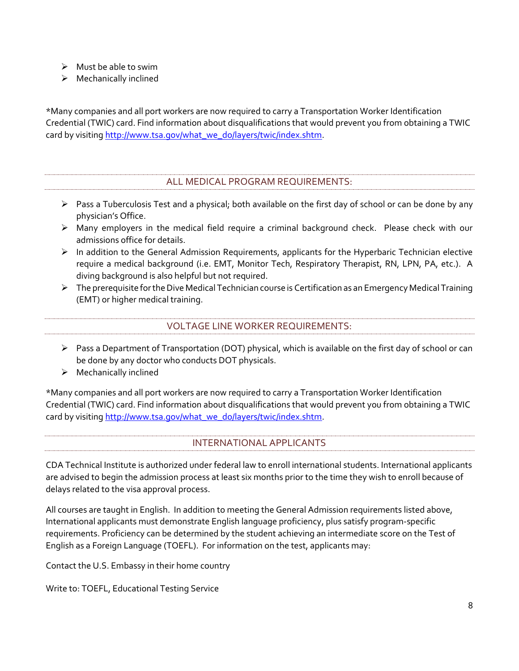- $\triangleright$  Must be able to swim
- $\triangleright$  Mechanically inclined

\*Many companies and all port workers are now required to carry a Transportation Worker Identification Credential (TWIC) card. Find information about disqualifications that would prevent you from obtaining a TWIC card by visiting [http://www.tsa.gov/what\\_we\\_do/layers/twic/index.shtm.](http://www.tsa.gov/what_we_do/layers/twic/index.shtm)

## ALL MEDICAL PROGRAM REQUIREMENTS:

- <span id="page-13-0"></span> $\triangleright$  Pass a Tuberculosis Test and a physical; both available on the first day of school or can be done by any physician's Office.
- ➢ Many employers in the medical field require a criminal background check. Please check with our admissions office for details.
- ➢ In addition to the General Admission Requirements, applicants for the Hyperbaric Technician elective require a medical background (i.e. EMT, Monitor Tech, Respiratory Therapist, RN, LPN, PA, etc.). A diving background is also helpful but not required.
- $\triangleright$  The prerequisite for the Dive Medical Technician course is Certification as an Emergency Medical Training (EMT) or higher medical training.

#### VOLTAGE LINE WORKER REQUIREMENTS:

- <span id="page-13-1"></span> $\triangleright$  Pass a Department of Transportation (DOT) physical, which is available on the first day of school or can be done by any doctor who conducts DOT physicals.
- ➢ Mechanically inclined

\*Many companies and all port workers are now required to carry a Transportation Worker Identification Credential (TWIC) card. Find information about disqualifications that would prevent you from obtaining a TWIC card by visiting [http://www.tsa.gov/what\\_we\\_do/layers/twic/index.shtm.](http://www.tsa.gov/what_we_do/layers/twic/index.shtm)

## INTERNATIONAL APPLICANTS

<span id="page-13-2"></span>CDA Technical Institute is authorized under federal law to enroll international students. International applicants are advised to begin the admission process at least six months prior to the time they wish to enroll because of delays related to the visa approval process.

All courses are taught in English. In addition to meeting the General Admission requirements listed above, International applicants must demonstrate English language proficiency, plus satisfy program-specific requirements. Proficiency can be determined by the student achieving an intermediate score on the Test of English as a Foreign Language (TOEFL). For information on the test, applicants may:

Contact the U.S. Embassy in their home country

Write to: TOEFL, Educational Testing Service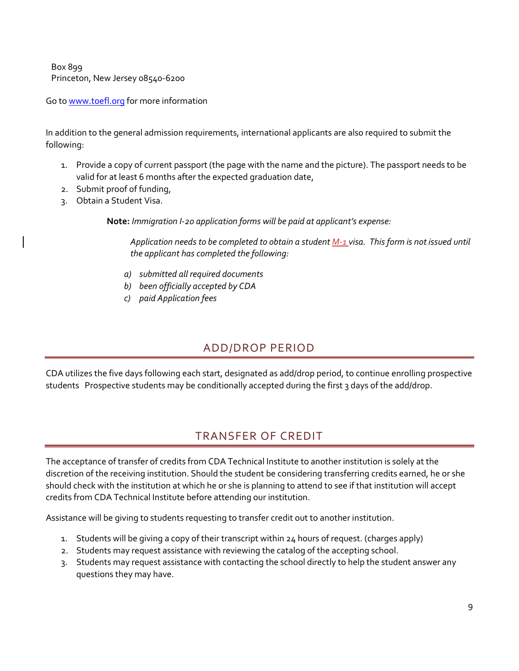Box 899 Princeton, New Jersey 08540-6200

Go t[o www.toefl.org](http://www.toefl.org/) for more information

In addition to the general admission requirements, international applicants are also required to submit the following:

- 1. Provide a copy of current passport (the page with the name and the picture). The passport needs to be valid for at least 6 months after the expected graduation date,
- 2. Submit proof of funding,
- 3. Obtain a Student Visa.

**Note:** *Immigration I-20 application forms will be paid at applicant's expense:*

*Application needs to be completed to obtain a student M-1 visa. This form is not issued until the applicant has completed the following:* 

- *a) submitted all required documents*
- *b) been officially accepted by CDA*
- *c) paid Application fees*

## ADD/DROP PERIOD

<span id="page-14-0"></span>CDA utilizes the five days following each start, designated as add/drop period, to continue enrolling prospective students Prospective students may be conditionally accepted during the first 3 days of the add/drop.

## TRANSFER OF CREDIT

<span id="page-14-1"></span>The acceptance of transfer of credits from CDA Technical Institute to another institution is solely at the discretion of the receiving institution. Should the student be considering transferring credits earned, he or she should check with the institution at which he or she is planning to attend to see if that institution will accept credits from CDA Technical Institute before attending our institution.

Assistance will be giving to students requesting to transfer credit out to another institution.

- 1. Students will be giving a copy of their transcript within 24 hours of request. (charges apply)
- 2. Students may request assistance with reviewing the catalog of the accepting school.
- 3. Students may request assistance with contacting the school directly to help the student answer any questions they may have.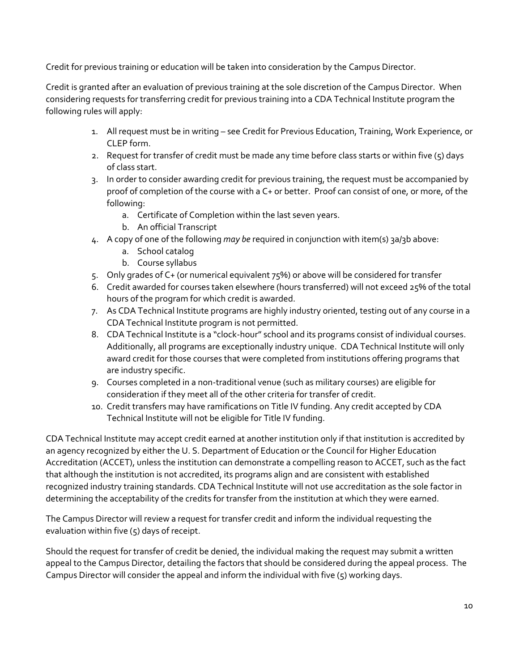Credit for previous training or education will be taken into consideration by the Campus Director.

Credit is granted after an evaluation of previous training at the sole discretion of the Campus Director. When considering requests for transferring credit for previous training into a CDA Technical Institute program the following rules will apply:

- 1. All request must be in writing see Credit for Previous Education, Training, Work Experience, or CLEP form.
- 2. Request for transfer of credit must be made any time before class starts or within five  $(5)$  days of class start.
- 3. In order to consider awarding credit for previous training, the request must be accompanied by proof of completion of the course with a C+ or better. Proof can consist of one, or more, of the following:
	- a. Certificate of Completion within the last seven years.
	- b. An official Transcript
- 4. A copy of one of the following *may be* required in conjunction with item(s) 3a/3b above:
	- a. School catalog
	- b. Course syllabus
- 5. Only grades of C+ (or numerical equivalent 75%) or above will be considered for transfer
- 6. Credit awarded for courses taken elsewhere (hours transferred) will not exceed 25% of the total hours of the program for which credit is awarded.
- 7. As CDA Technical Institute programs are highly industry oriented, testing out of any course in a CDA Technical Institute program is not permitted.
- 8. CDA Technical Institute is a "clock-hour" school and its programs consist of individual courses. Additionally, all programs are exceptionally industry unique. CDA Technical Institute will only award credit for those courses that were completed from institutions offering programs that are industry specific.
- 9. Courses completed in a non-traditional venue (such as military courses) are eligible for consideration if they meet all of the other criteria for transfer of credit.
- 10. Credit transfers may have ramifications on Title IV funding. Any credit accepted by CDA Technical Institute will not be eligible for Title IV funding.

CDA Technical Institute may accept credit earned at another institution only if that institution is accredited by an agency recognized by either the U. S. Department of Education or the Council for Higher Education Accreditation (ACCET), unless the institution can demonstrate a compelling reason to ACCET, such as the fact that although the institution is not accredited, its programs align and are consistent with established recognized industry training standards. CDA Technical Institute will not use accreditation as the sole factor in determining the acceptability of the credits for transfer from the institution at which they were earned.

The Campus Director will review a request for transfer credit and inform the individual requesting the evaluation within five (5) days of receipt.

Should the request for transfer of credit be denied, the individual making the request may submit a written appeal to the Campus Director, detailing the factors that should be considered during the appeal process. The Campus Director will consider the appeal and inform the individual with five (5) working days.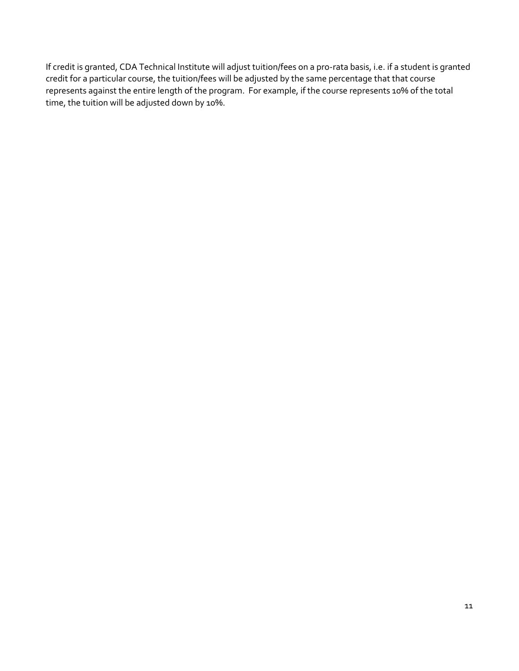If credit is granted, CDA Technical Institute will adjust tuition/fees on a pro-rata basis, i.e. if a student is granted credit for a particular course, the tuition/fees will be adjusted by the same percentage that that course represents against the entire length of the program. For example, if the course represents 10% of the total time, the tuition will be adjusted down by 10%.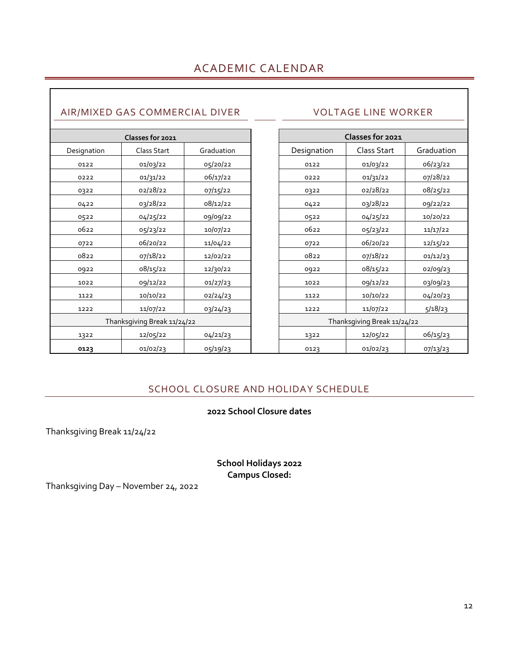## <span id="page-17-1"></span><span id="page-17-0"></span>AIR/MIXED GAS COMMERCIAL DIVER VOLTAGE LINE WORKER

|             | Classes for 2021            |            | Classes for 2021            |             |            |
|-------------|-----------------------------|------------|-----------------------------|-------------|------------|
| Designation | Class Start                 | Graduation | Designation                 | Class Start | Graduation |
| 0122        | 01/03/22                    | 05/20/22   | 0122                        | 01/03/22    | 06/23/22   |
| 0222        | 01/31/22                    | 06/17/22   | 0222                        | 01/31/22    | 07/28/22   |
| 0322        | 02/28/22                    | 07/15/22   | 0322                        | 02/28/22    | 08/25/22   |
| 0422        | 03/28/22                    | 08/12/22   | 0422                        | 03/28/22    | 09/22/22   |
| 0522        | 04/25/22                    | 09/09/22   | 0522                        | 04/25/22    | 10/20/22   |
| 0622        | 05/23/22                    | 10/07/22   | 0622                        | 05/23/22    | 11/17/22   |
| 0722        | 06/20/22                    | 11/04/22   | 0722                        | 06/20/22    | 12/15/22   |
| 0822        | 07/18/22                    | 12/02/22   | 0822                        | 07/18/22    | 01/12/23   |
| 0922        | 08/15/22                    | 12/30/22   | 0922                        | 08/15/22    | 02/09/23   |
| 1022        | 09/12/22                    | 01/27/23   | 1022                        | 09/12/22    | 03/09/23   |
| 1122        | 10/10/22                    | 02/24/23   | 1122                        | 10/10/22    | 04/20/23   |
| 1222        | 11/07/22                    | 03/24/23   | 1222                        | 11/07/22    | 5/18/23    |
|             | Thanksgiving Break 11/24/22 |            | Thanksgiving Break 11/24/22 |             |            |
| 1322        | 12/05/22                    | 04/21/23   | 1322                        | 12/05/22    | 06/15/23   |
| 0123        | 01/02/23                    | 05/19/23   | 0123                        | 01/02/23    | 07/13/23   |

<span id="page-17-2"></span>

| Classes for 2021            |             |            |  |
|-----------------------------|-------------|------------|--|
| Designation                 | Class Start | Graduation |  |
| 0122                        | 01/03/22    | 06/23/22   |  |
| 0222                        | 01/31/22    | 07/28/22   |  |
| 0322                        | 02/28/22    | 08/25/22   |  |
| 0422                        | 03/28/22    | 09/22/22   |  |
| 0522                        | 04/25/22    | 10/20/22   |  |
| 0622                        | 05/23/22    | 11/17/22   |  |
| 0722                        | 06/20/22    | 12/15/22   |  |
| 0822                        | 07/18/22    | 01/12/23   |  |
| 0922                        | 08/15/22    | 02/09/23   |  |
| 1022                        | 09/12/22    | 03/09/23   |  |
| 1122                        | 10/10/22    | 04/20/23   |  |
| 1222                        | 11/07/22    | 5/18/23    |  |
| Thanksgiving Break 11/24/22 |             |            |  |
| 1322                        | 12/05/22    | 06/15/23   |  |
| 0123                        | 01/02/23    | 07/13/23   |  |

## SCHOOL CLOSURE AND HOLIDAY SCHEDULE

## **School Closure dates**

<span id="page-17-3"></span>Thanksgiving Break 11/24/22

**School Holidays 2022 Campus Closed:**

Thanksgiving Day – November 24, 2022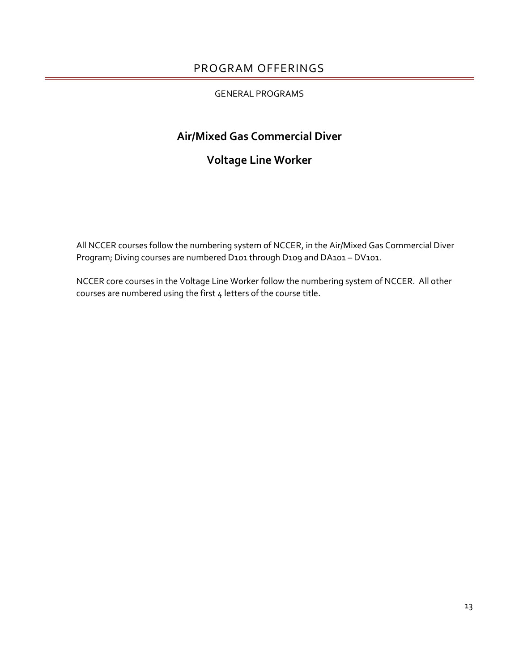## PROGRAM OFFERINGS

#### GENERAL PROGRAMS

## <span id="page-18-0"></span>**Air/Mixed Gas Commercial Diver**

## **Voltage Line Worker**

All NCCER courses follow the numbering system of NCCER, in the Air/Mixed Gas Commercial Diver Program; Diving courses are numbered D101 through D109 and DA101 - DV101.

NCCER core courses in the Voltage Line Worker follow the numbering system of NCCER. All other courses are numbered using the first 4 letters of the course title.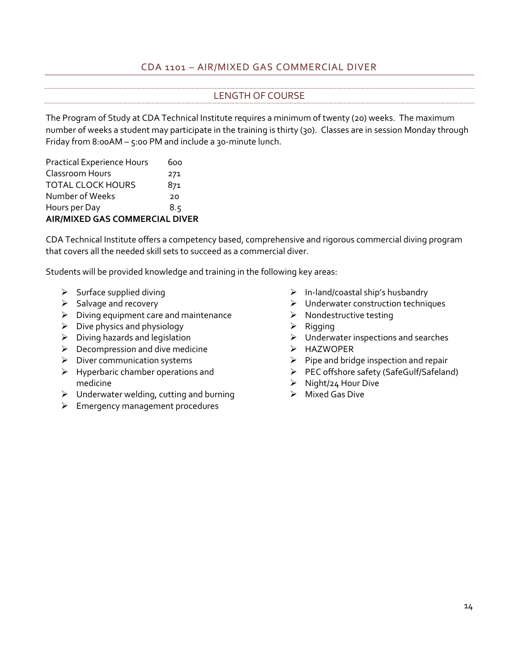## CDA 1101 – AIR/MIXED GAS COMMERCIAL DIVER

## LENGTH OF COURSE

<span id="page-19-1"></span><span id="page-19-0"></span>The Program of Study at CDA Technical Institute requires a minimum of twenty (20) weeks. The maximum number of weeks a student may participate in the training is thirty (30). Classes are in session Monday through Friday from 8:00AM – 5:00 PM and include a 30-minute lunch.

| <b>Practical Experience Hours</b>     | ნიი |  |
|---------------------------------------|-----|--|
| Classroom Hours                       | 271 |  |
| <b>TOTAL CLOCK HOURS</b>              | 871 |  |
| Number of Weeks                       | 20  |  |
| Hours per Day                         | 8.5 |  |
| <b>AIR/MIXED GAS COMMERCIAL DIVER</b> |     |  |

CDA Technical Institute offers a competency based, comprehensive and rigorous commercial diving program that covers all the needed skill sets to succeed as a commercial diver.

Students will be provided knowledge and training in the following key areas:

- $\triangleright$  Surface supplied diving
- $\triangleright$  Salvage and recovery
- $\triangleright$  Diving equipment care and maintenance
- $\triangleright$  Dive physics and physiology
- $\triangleright$  Diving hazards and legislation
- $\blacktriangleright$  Decompression and dive medicine
- ➢ Diver communication systems
- $\triangleright$  Hyperbaric chamber operations and medicine
- ➢ Underwater welding, cutting and burning
- ➢ Emergency management procedures
- $\triangleright$  In-land/coastal ship's husbandry
- ➢ Underwater construction techniques
- $\triangleright$  Nondestructive testing
- ➢ Rigging
- ➢ Underwater inspections and searches
- ➢ HAZWOPER
- $\triangleright$  Pipe and bridge inspection and repair
- ➢ PEC offshore safety (SafeGulf/Safeland)
- ➢ Night/24 Hour Dive
- ➢ Mixed Gas Dive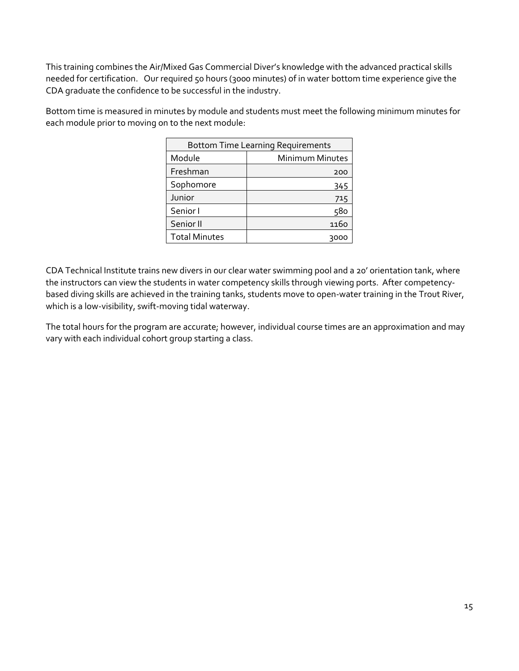This training combines the Air/Mixed Gas Commercial Diver's knowledge with the advanced practical skills needed for certification. Our required 50 hours (3000 minutes) of in water bottom time experience give the CDA graduate the confidence to be successful in the industry.

Bottom time is measured in minutes by module and students must meet the following minimum minutes for each module prior to moving on to the next module:

| <b>Bottom Time Learning Requirements</b> |                        |  |
|------------------------------------------|------------------------|--|
| Module                                   | <b>Minimum Minutes</b> |  |
| Freshman                                 | 200                    |  |
| Sophomore                                | 345                    |  |
| Junior                                   | 715                    |  |
| Senior I                                 | 580                    |  |
| Senior II                                | 1160                   |  |
| <b>Total Minutes</b>                     |                        |  |

CDA Technical Institute trains new divers in our clear water swimming pool and a 20' orientation tank, where the instructors can view the students in water competency skills through viewing ports. After competencybased diving skills are achieved in the training tanks, students move to open-water training in the Trout River, which is a low-visibility, swift-moving tidal waterway.

The total hours for the program are accurate; however, individual course times are an approximation and may vary with each individual cohort group starting a class.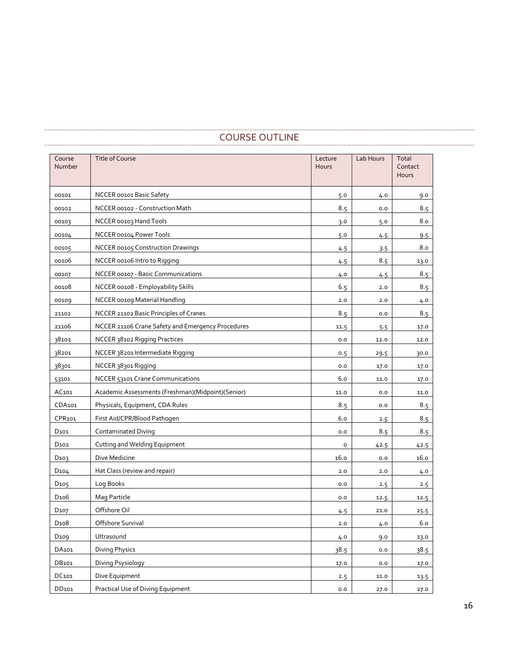## <span id="page-21-0"></span>Course Number Title of Course Lecture Lecture Lecture Lecture Lecture Lecture **Hours** Lab Hours | Total Contact Hours 00101 NCCER 00101 Basic Safety 3.0 5.0 4.0 9.0 00102 | NCCER 00102 - Construction Math 8.5 | 8.5 0.0 | 8.5 00103 NCCER 00103 Hand Tools 3.0 3.0 5.0 8.0 00104 NCCER 00104 Power Tools 5.0 4.5 9.5 00105 NCCER 00105 Construction Drawings 4.5 3.5 8.0 00106 | NCCER 00106 Intro to Rigging 200106 | 200206 | 4.5 | 4.5 | 4.5 | 4.5 | 13.0 00107 NCCER 00107 - Basic Communications 4.0 4.5 8.5 00108 NCCER 00108 - Employability Skills 6.5 2.0 8.5 00109 NCCER 00109 Material Handling 2.0 2.0 4.0 21102 | NCCER 21102 Basic Principles of Cranes 8.5 0.0 | 8.5 0.0 | 8.5 0.0 | 8.5 0.0 | 8.5 0.0 | 8.5 0.0 | 8.5 21106 NCCER 21106 Crane Safety and Emergency Procedures 11.5 11.5 5.5 17.0 38102 NCCER 38102 Rigging Practices 0.0 12.0 12.0 38201 | NCCER 38201 Intermediate Rigging 0.5 29.5 | 29.5 30.0 38301 | NCCER 38301 Rigging | 0.0 | 17.0 | 17.0 | 17.0 | 17.0 | 17.0 | 17.0 | 17.0 | 17.0 | 17.0 | 17.0 | 17.0 53101 NCCER 53101 Crane Communications 6.0 11.0 17.0 AC101 | Academic Assessments (Freshman)(Midpoint)(Senior) 11.0 | 11.0 | 0.0 | 11.0 CDA101 Physicals, Equipment, CDA Rules 8.5 0.0 8.5 0.0 8.5 CPR101 First Aid/CPR/Blood Pathogen 6.0 2.5 8.5 8.5 D101 Contaminated Diving 2012 Contaminated Diving 2012 Contaminated Diving 2012 Contaminated Diving 2013 Conta D102 Cutting and Welding Equipment 1 42.5 42.5 42.5 42.5 D103 Dive Medicine 16.0 0.0 16.0 D104 Hat Class (review and repair) 2.0 2.0 4.0 D105 Log Books 0.0 2.5 2.5 D106 Mag Particle 0.0 12.5 12.5 D107 Offshore Oil 4.5 21.0 25.5 D108 Offshore Survival 2.0 4.0 6.0 D109 Ultrasound 4.0 9.0 13.0 DA101 Diving Physics 38.5 0.0 38.5 0.0 38.5 DB101 Diving Psysiology 2012 17.0 17.0 0.0 17.0 17.0 17.0 DC101 Dive Equipment 2.5 11.0 13.5 DD101 Practical Use of Diving Equipment 1.1 27.0 27.0 27.0 27.0

#### COURSE OUTLINE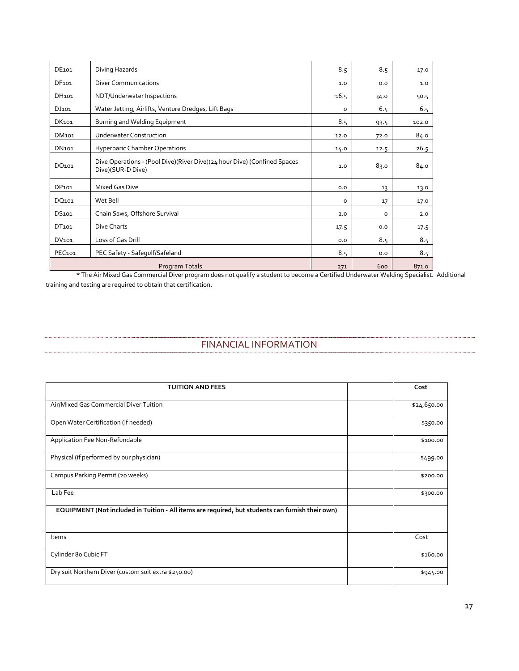| DE101              | Diving Hazards                                                                                | 8.5     | 8.5  | 17.0  |
|--------------------|-----------------------------------------------------------------------------------------------|---------|------|-------|
| DF <sub>101</sub>  | Diver Communications                                                                          | 1.0     | 0.0  | 1.0   |
| DH <sub>101</sub>  | NDT/Underwater Inspections                                                                    | 16.5    | 34.0 | 50.5  |
| DJ101              | Water Jetting, Airlifts, Venture Dredges, Lift Bags                                           | 0       | 6.5  | 6.5   |
| DK <sub>101</sub>  | Burning and Welding Equipment                                                                 | 8.5     | 93.5 | 102.0 |
| DM <sub>101</sub>  | <b>Underwater Construction</b>                                                                | 12.0    | 72.0 | 84.0  |
| DN <sub>101</sub>  | <b>Hyperbaric Chamber Operations</b>                                                          | 14.0    | 12.5 | 26.5  |
| DO <sub>101</sub>  | Dive Operations - (Pool Dive)(River Dive)(24 hour Dive) (Confined Spaces<br>Dive)(SUR-D Dive) | 1.0     | 83.0 | 84.0  |
| DP <sub>101</sub>  | Mixed Gas Dive                                                                                | 0.0     | 13   | 13.0  |
| DQ101              | Wet Bell                                                                                      | $\circ$ | 17   | 17.0  |
| DS <sub>101</sub>  | Chain Saws, Offshore Survival                                                                 | 2.0     | 0    | 2.0   |
| DT101              | Dive Charts                                                                                   | 17.5    | 0.0  | 17.5  |
| DV101              | Loss of Gas Drill                                                                             | 0.0     | 8.5  | 8.5   |
| PEC <sub>101</sub> | PEC Safety - Safegulf/Safeland                                                                | 8.5     | 0.0  | 8.5   |
|                    | Program Totals                                                                                | 271     | 600  | 871.0 |

\* The Air Mixed Gas Commercial Diver program does not qualify a student to become a Certified Underwater Welding Specialist. Additional training and testing are required to obtain that certification.

## FINANCIAL INFORMATION

<span id="page-22-0"></span>

| <b>TUITION AND FEES</b>                                                                          | Cost        |
|--------------------------------------------------------------------------------------------------|-------------|
| Air/Mixed Gas Commercial Diver Tuition                                                           | \$24,650.00 |
| Open Water Certification (If needed)                                                             | \$350.00    |
| Application Fee Non-Refundable                                                                   | \$100.00    |
| Physical (if performed by our physician)                                                         | \$499.00    |
| Campus Parking Permit (20 weeks)                                                                 | \$200.00    |
| Lab Fee                                                                                          | \$300.00    |
| EQUIPMENT (Not included in Tuition - All items are required, but students can furnish their own) |             |
| Items                                                                                            | Cost        |
| Cylinder 8o Cubic FT                                                                             | \$160.00    |
| Dry suit Northern Diver (custom suit extra \$250.00)                                             | \$945.00    |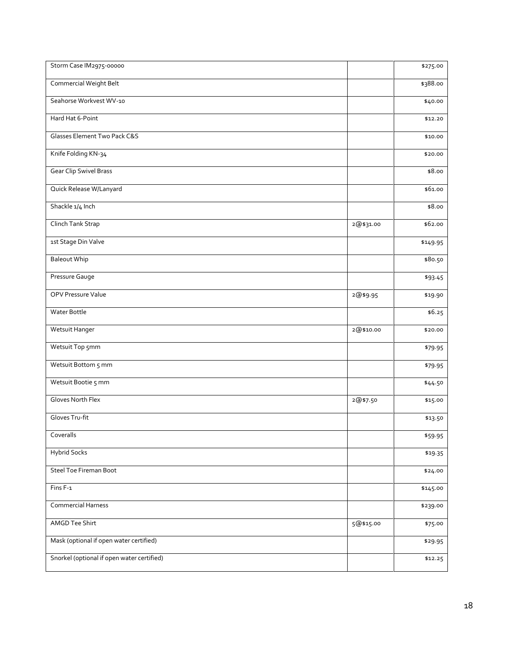| Storm Case IM2975-00000                    |           | \$275.00 |
|--------------------------------------------|-----------|----------|
| Commercial Weight Belt                     |           | \$388.00 |
| Seahorse Workvest WV-10                    |           | \$40.00  |
| Hard Hat 6-Point                           |           | \$12.20  |
| Glasses Element Two Pack C&S               |           | \$10.00  |
| Knife Folding KN-34                        |           | \$20.00  |
| <b>Gear Clip Swivel Brass</b>              |           | \$8.00   |
| Quick Release W/Lanyard                    |           | \$61.00  |
| Shackle 1/4 Inch                           |           | \$8.00   |
| Clinch Tank Strap                          | 2@\$31.00 | \$62.00  |
| 1st Stage Din Valve                        |           | \$149.95 |
| <b>Baleout Whip</b>                        |           | \$80.50  |
| Pressure Gauge                             |           | \$93.45  |
| OPV Pressure Value                         | 2@\$9.95  | \$19.90  |
| Water Bottle                               |           | \$6.25   |
| Wetsuit Hanger                             | 2@\$10.00 | \$20.00  |
| Wetsuit Top 5mm                            |           | \$79.95  |
| Wetsuit Bottom 5 mm                        |           | \$79.95  |
| Wetsuit Bootie 5 mm                        |           | \$44.50  |
| <b>Gloves North Flex</b>                   | 2@\$7.50  | \$15.00  |
| Gloves Tru-fit                             |           | \$13.50  |
| Coveralls                                  |           | \$59.95  |
| <b>Hybrid Socks</b>                        |           | \$19.35  |
| <b>Steel Toe Fireman Boot</b>              |           | \$24.00  |
| Fins F-1                                   |           | \$145.00 |
| Commercial Harness                         |           | \$239.00 |
| AMGD Tee Shirt                             | 5@\$15.00 | \$75.00  |
| Mask (optional if open water certified)    |           | \$29.95  |
| Snorkel (optional if open water certified) |           | \$12.25  |
|                                            |           |          |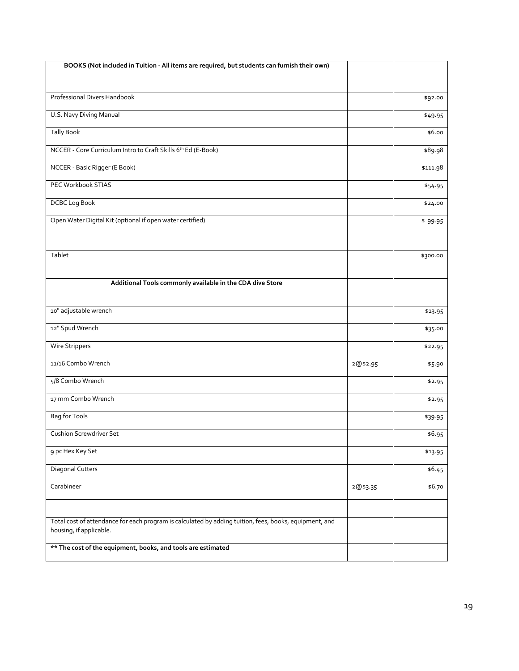| BOOKS (Not included in Tuition - All items are required, but students can furnish their own)                                      |          |          |
|-----------------------------------------------------------------------------------------------------------------------------------|----------|----------|
|                                                                                                                                   |          |          |
| Professional Divers Handbook                                                                                                      |          | \$92.00  |
|                                                                                                                                   |          |          |
| U.S. Navy Diving Manual                                                                                                           |          | \$49.95  |
| <b>Tally Book</b>                                                                                                                 |          | \$6.00   |
| NCCER - Core Curriculum Intro to Craft Skills 6 <sup>th</sup> Ed (E-Book)                                                         |          | \$89.98  |
| NCCER - Basic Rigger (E Book)                                                                                                     |          | \$111.98 |
| PEC Workbook STIAS                                                                                                                |          | \$54.95  |
| DCBC Log Book                                                                                                                     |          | \$24.00  |
| Open Water Digital Kit (optional if open water certified)                                                                         |          | \$99.95  |
|                                                                                                                                   |          |          |
| Tablet                                                                                                                            |          | \$300.00 |
|                                                                                                                                   |          |          |
| Additional Tools commonly available in the CDA dive Store                                                                         |          |          |
|                                                                                                                                   |          |          |
| 10" adjustable wrench                                                                                                             |          | \$13.95  |
| 12" Spud Wrench                                                                                                                   |          | \$35.00  |
| Wire Strippers                                                                                                                    |          | \$22.95  |
| 11/16 Combo Wrench                                                                                                                | 2@\$2.95 | \$5.90   |
| 5/8 Combo Wrench                                                                                                                  |          | \$2.95   |
| 17 mm Combo Wrench                                                                                                                |          | \$2.95   |
| Bag for Tools                                                                                                                     |          | \$39.95  |
| <b>Cushion Screwdriver Set</b>                                                                                                    |          | \$6.95   |
| 9 pc Hex Key Set                                                                                                                  |          | \$13.95  |
| <b>Diagonal Cutters</b>                                                                                                           |          | \$6.45   |
| Carabineer                                                                                                                        | 2@\$3.35 | \$6.70   |
|                                                                                                                                   |          |          |
| Total cost of attendance for each program is calculated by adding tuition, fees, books, equipment, and<br>housing, if applicable. |          |          |
| ** The cost of the equipment, books, and tools are estimated                                                                      |          |          |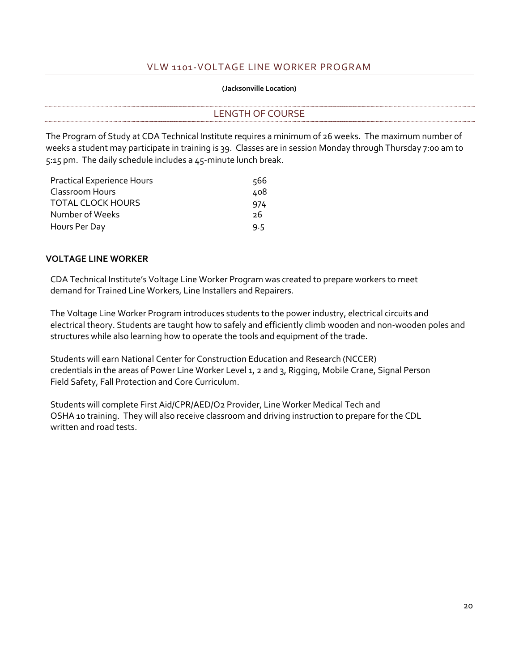## VLW 1101-VOLTAGE LINE WORKER PROGRAM

#### **(Jacksonville Location)**

<span id="page-25-1"></span><span id="page-25-0"></span>LENGTH OF COURSE

The Program of Study at CDA Technical Institute requires a minimum of 26 weeks. The maximum number of weeks a student may participate in training is 39. Classes are in session Monday through Thursday 7:00 am to 5:15 pm. The daily schedule includes a 45-minute lunch break.

| <b>Practical Experience Hours</b> | 566 |
|-----------------------------------|-----|
| Classroom Hours                   | 408 |
| <b>TOTAL CLOCK HOURS</b>          | 974 |
| Number of Weeks                   | 26  |
| Hours Per Day                     | 9.5 |

#### **VOLTAGE LINE WORKER**

CDA Technical Institute's Voltage Line Worker Program was created to prepare workers to meet demand for Trained Line Workers, Line Installers and Repairers.

The Voltage Line Worker Program introduces students to the power industry, electrical circuits and electrical theory. Students are taught how to safely and efficiently climb wooden and non-wooden poles and structures while also learning how to operate the tools and equipment of the trade.

Students will earn National Center for Construction Education and Research (NCCER) credentials in the areas of Power Line Worker Level 1, 2 and 3, Rigging, Mobile Crane, Signal Person Field Safety, Fall Protection and Core Curriculum.

Students will complete First Aid/CPR/AED/O2 Provider, Line Worker Medical Tech and OSHA 10 training. They will also receive classroom and driving instruction to prepare for the CDL written and road tests.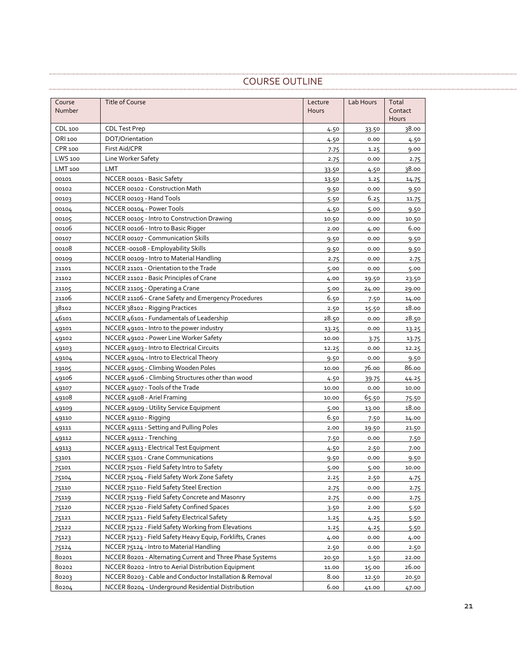## COURSE OUTLINE

<span id="page-26-0"></span>

| Course  | <b>Title of Course</b>                                    | Lecture | Lab Hours | Total   |
|---------|-----------------------------------------------------------|---------|-----------|---------|
| Number  |                                                           | Hours   |           | Contact |
|         |                                                           |         |           | Hours   |
| CDL 100 | <b>CDL Test Prep</b>                                      | 4.50    | 33.50     | 38.00   |
| ORI 100 | DOT/Orientation                                           | 4.50    | 0.00      | 4.50    |
| CPR 100 | First Aid/CPR                                             | 7.75    | 1.25      | 9.00    |
| LWS 100 | Line Worker Safety                                        | 2.75    | 0.00      | 2.75    |
| LMT 100 | <b>LMT</b>                                                | 33.50   | 4.50      | 38.00   |
| 00101   | NCCER 00101 - Basic Safety                                | 13.50   | 1.25      | 14.75   |
| 00102   | NCCER 00102 - Construction Math                           | 9.50    | 0.00      | 9.50    |
| 00103   | NCCER 00103 - Hand Tools                                  | 5.50    | 6.25      | 11.75   |
| 00104   | NCCER 00104 - Power Tools                                 | 4.50    | 5.00      | 9.50    |
| 00105   | NCCER 00105 - Intro to Construction Drawing               | 10.50   | 0.00      | 10.50   |
| 00106   | NCCER 00106 - Intro to Basic Rigger                       | 2.00    | 4.00      | 6.00    |
| 00107   | NCCER 00107 - Communication Skills                        | 9.50    | 0.00      | 9.50    |
| 00108   | NCCER -00108 - Employability Skills                       | 9.50    | 0.00      | 9.50    |
| 00109   | NCCER 00109 - Intro to Material Handling                  | 2.75    | 0.00      | 2.75    |
| 21101   | NCCER 21101 - Orientation to the Trade                    | 5.00    | 0.00      | 5.00    |
| 21102   | NCCER 21102 - Basic Principles of Crane                   | 4.00    | 19.50     | 23.50   |
| 21105   | NCCER 21105 - Operating a Crane                           | 5.00    | 24.00     | 29.00   |
| 21106   | NCCER 21106 - Crane Safety and Emergency Procedures       | 6.50    | 7.50      | 14.00   |
| 38102   | NCCER 38102 - Rigging Practices                           | 2.50    | 15.50     | 18.00   |
| 46101   | NCCER 46101 - Fundamentals of Leadership                  | 28.50   | 0.00      | 28.50   |
| 49101   | NCCER 49101 - Intro to the power industry                 | 13.25   | 0.00      | 13.25   |
| 49102   | NCCER 49102 - Power Line Worker Safety                    | 10.00   | 3.75      | 13.75   |
| 49103   | NCCER 49103 - Intro to Electrical Circuits                | 12.25   | 0.00      | 12.25   |
| 49104   | NCCER 49104 - Intro to Electrical Theory                  | 9.50    | 0.00      | 9.50    |
| 19105   | NCCER 49105 - Climbing Wooden Poles                       | 10.00   | 76.00     | 86.00   |
| 49106   | NCCER 49106 - Climbing Structures other than wood         | 4.50    | 39.75     | 44.25   |
| 49107   | NCCER 49107 - Tools of the Trade                          | 10.00   | 0.00      | 10.00   |
| 49108   | NCCER 49108 - Ariel Framing                               | 10.00   | 65.50     | 75.50   |
| 49109   | NCCER 49109 - Utility Service Equipment                   | 5.00    | 13.00     | 18.00   |
| 49110   | NCCER 49110 - Rigging                                     | 6.50    | 7.50      | 14.00   |
| 49111   | NCCER 49111 - Setting and Pulling Poles                   | 2.00    | 19.50     | 21.50   |
| 49112   | NCCER 49112 - Trenching                                   | 7.50    | 0.00      | 7.50    |
| 49113   | NCCER 49113 - Electrical Test Equipment                   | 4.50    | 2.50      | 7.00    |
| 53101   | NCCER 53101 - Crane Communications                        | 9.50    | 0.00      | 9.50    |
| 75101   | NCCER 75101 - Field Safety Intro to Safety                | 5.00    | 5.00      | 10.00   |
| 75104   | NCCER 75104 - Field Safety Work Zone Safety               | 2.25    | 2.50      | 4.75    |
| 75110   | NCCER 75110 - Field Safety Steel Erection                 | 2.75    | 0.00      | 2.75    |
| 75119   | NCCER 75119 - Field Safety Concrete and Masonry           | 2.75    | 0.00      | 2.75    |
| 75120   | NCCER 75120 - Field Safety Confined Spaces                | 3.50    | 2.00      | 5.50    |
| 75121   | NCCER 75121 - Field Safety Electrical Safety              | 1.25    | 4.25      | 5.50    |
| 75122   | NCCER 75122 - Field Safety Working from Elevations        | 1.25    | 4.25      | 5.50    |
| 75123   | NCCER 75123 - Field Safety Heavy Equip, Forklifts, Cranes | 4.00    | 0.00      | 4.00    |
| 75124   | NCCER 75124 - Intro to Material Handling                  | 2.50    | 0.00      | 2.50    |
| 80201   | NCCER 80201 - Alternating Current and Three Phase Systems | 20.50   | 1.50      | 22.00   |
| 80202   | NCCER 80202 - Intro to Aerial Distribution Equipment      | 11.00   | 15.00     | 26.00   |
| 80203   | NCCER 80203 - Cable and Conductor Installation & Removal  | 8.00    | 12.50     | 20.50   |
| 80204   | NCCER 80204 - Underground Residential Distribution        | 6.00    | 41.00     | 47.00   |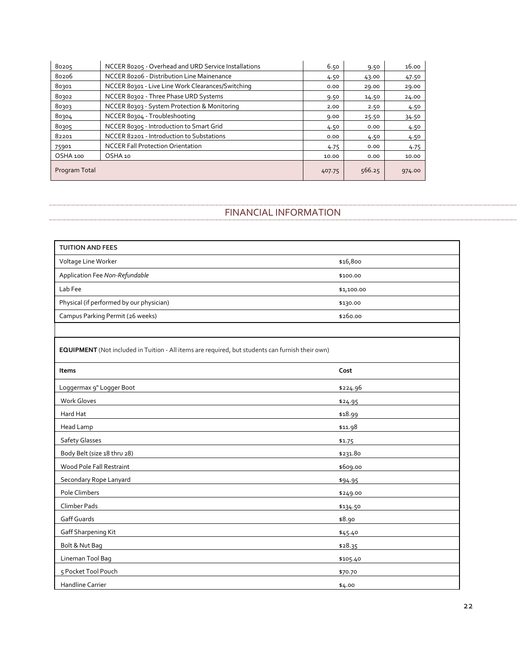| 80205         | NCCER 80205 - Overhead and URD Service Installations | 6.50   | 9.50   | 16.00  |
|---------------|------------------------------------------------------|--------|--------|--------|
| 80206         | NCCER 80206 - Distribution Line Mainenance           | 4.50   | 43.00  | 47.50  |
| 80301         | NCCER 80301 - Live Line Work Clearances/Switching    | 0.00   | 29.00  | 29.00  |
| 80302         | NCCER 80302 - Three Phase URD Systems                | 9.50   | 14.50  | 24.00  |
| 80303         | NCCER 80303 - System Protection & Monitoring         | 2.00   | 2.50   | 4.50   |
| 80304         | NCCER 80304 - Troubleshooting                        | 9.00   | 25.50  | 34.50  |
| 80305         | NCCER 80305 - Introduction to Smart Grid             | 4.50   | 0.00   | 4.50   |
| 82201         | NCCER 82201 - Introduction to Substations            | 0.00   | 4.50   | 4.50   |
| 75901         | <b>NCCER Fall Protection Orientation</b>             | 4.75   | 0.00   | 4.75   |
| OSHA 100      | OSHA 10                                              | 10.00  | 0.00   | 10.00  |
| Program Total |                                                      | 407.75 | 566.25 | 974.00 |

#### FINANCIAL INFORMATION

<span id="page-27-0"></span>

| <b>TUITION AND FEES</b>                  |            |
|------------------------------------------|------------|
| Voltage Line Worker                      | \$16,800   |
| Application Fee Non-Refundable           | \$100.00   |
| Lab Fee                                  | \$1,100.00 |
| Physical (if performed by our physician) | \$130.00   |
| Campus Parking Permit (26 weeks)         | \$260.00   |

**EQUIPMENT** (Not included in Tuition - All items are required, but students can furnish their own)

| Items                       | Cost     |
|-----------------------------|----------|
| Loggermax 9" Logger Boot    | \$224.96 |
| <b>Work Gloves</b>          | \$24.95  |
| Hard Hat                    | \$18.99  |
| Head Lamp                   | \$11.98  |
| Safety Glasses              | \$1.75   |
| Body Belt (size 18 thru 28) | \$231.80 |
| Wood Pole Fall Restraint    | \$609.00 |
| Secondary Rope Lanyard      | \$94.95  |
| Pole Climbers               | \$249.00 |
| Climber Pads                | \$134.50 |
| Gaff Guards                 | \$8.90   |
| Gaff Sharpening Kit         | \$45.40  |
| Bolt & Nut Bag              | \$28.35  |
| Lineman Tool Bag            | \$105.40 |
| 5 Pocket Tool Pouch         | \$70.70  |
| Handline Carrier            | \$4.00   |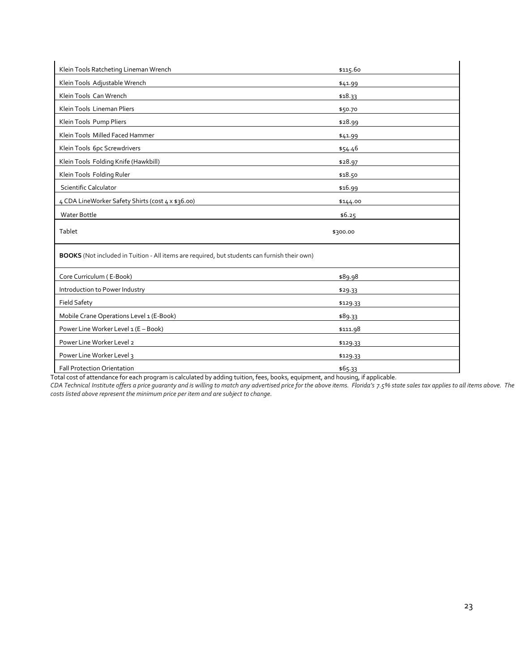| Klein Tools Ratcheting Lineman Wrench                                                        | \$115.60 |
|----------------------------------------------------------------------------------------------|----------|
| Klein Tools Adjustable Wrench                                                                | \$41.99  |
| Klein Tools Can Wrench                                                                       | \$18.33  |
| Klein Tools Lineman Pliers                                                                   | \$50.70  |
| Klein Tools Pump Pliers                                                                      | \$28.99  |
| Klein Tools Milled Faced Hammer                                                              | \$41.99  |
| Klein Tools 6pc Screwdrivers                                                                 | \$54.46  |
| Klein Tools Folding Knife (Hawkbill)                                                         | \$28.97  |
| Klein Tools Folding Ruler                                                                    | \$18.50  |
| <b>Scientific Calculator</b>                                                                 | \$16.99  |
| 4 CDA LineWorker Safety Shirts (cost 4 x \$36.00)                                            | \$144.00 |
| Water Bottle                                                                                 | \$6.25   |
| Tablet                                                                                       | \$300.00 |
| BOOKS (Not included in Tuition - All items are required, but students can furnish their own) |          |
| Core Curriculum (E-Book)                                                                     | \$89.98  |
| Introduction to Power Industry                                                               | \$29.33  |
| <b>Field Safety</b>                                                                          | \$129.33 |
| Mobile Crane Operations Level 1 (E-Book)                                                     | \$89.33  |
| Power Line Worker Level 1 (E - Book)                                                         | \$111.98 |
| Power Line Worker Level 2                                                                    | \$129.33 |
| Power Line Worker Level 3                                                                    | \$129.33 |
| <b>Fall Protection Orientation</b>                                                           | \$65.33  |

Total cost of attendance for each program is calculated by adding tuition, fees, books, equipment, and housing, if applicable.

*CDA Technical Institute offers a price guaranty and is willing to match any advertised price for the above items. Florida's 7.5% state sales tax applies to all items above. The costs listed above represent the minimum price per item and are subject to change.*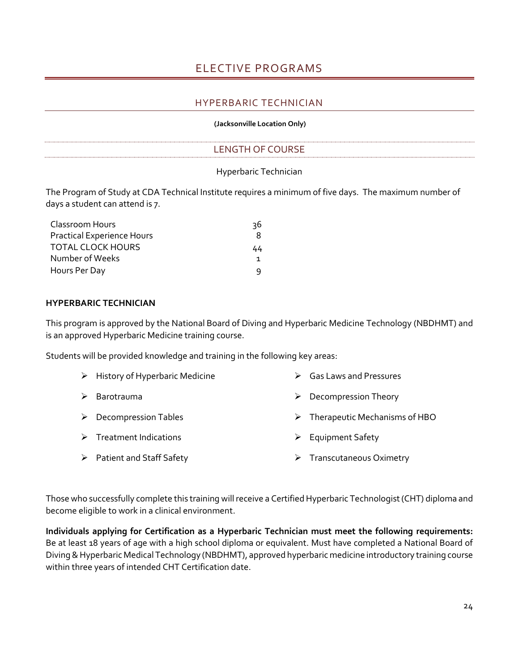## ELECTIVE PROGRAMS

#### HYPERBARIC TECHNICIAN

#### **(Jacksonville Location Only)**

## LENGTH OF COURSE

#### Hyperbaric Technician

<span id="page-29-2"></span><span id="page-29-1"></span><span id="page-29-0"></span>The Program of Study at CDA Technical Institute requires a minimum of five days. The maximum number of days a student can attend is 7.

| Classroom Hours                   | 36 |
|-----------------------------------|----|
| <b>Practical Experience Hours</b> | 8  |
| <b>TOTAL CLOCK HOURS</b>          | 44 |
| Number of Weeks                   |    |
| Hours Per Day                     |    |

#### **HYPERBARIC TECHNICIAN**

This program is approved by the National Board of Diving and Hyperbaric Medicine Technology (NBDHMT) and is an approved Hyperbaric Medicine training course.

Students will be provided knowledge and training in the following key areas:

| $\triangleright$ History of Hyperbaric Medicine | <b>Gas Laws and Pressures</b>                  |
|-------------------------------------------------|------------------------------------------------|
| $\triangleright$ Barotrauma                     | $\triangleright$ Decompression Theory          |
| $\triangleright$ Decompression Tables           | $\triangleright$ Therapeutic Mechanisms of HBO |
| $\triangleright$ Treatment Indications          | $\triangleright$ Equipment Safety              |
| $\triangleright$ Patient and Staff Safety       | $\triangleright$ Transcutaneous Oximetry       |

Those who successfully complete this training will receive a Certified Hyperbaric Technologist (CHT) diploma and become eligible to work in a clinical environment.

**Individuals applying for Certification as a Hyperbaric Technician must meet the following requirements:** Be at least 18 years of age with a high school diploma or equivalent. Must have completed a National Board of Diving & Hyperbaric Medical Technology (NBDHMT), approved hyperbaric medicine introductory training course within three years of intended CHT Certification date.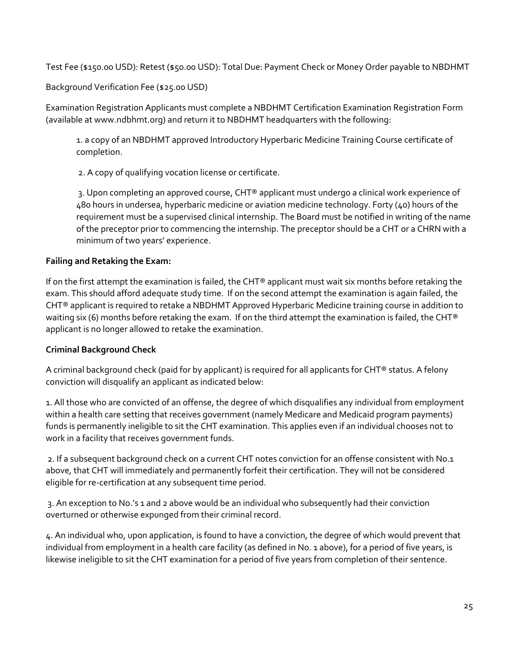Test Fee (\$150.00 USD): Retest (\$50.00 USD): Total Due: Payment Check or Money Order payable to NBDHMT

Background Verification Fee (\$25.00 USD)

Examination Registration Applicants must complete a NBDHMT Certification Examination Registration Form (available at www.ndbhmt.org) and return it to NBDHMT headquarters with the following:

1. a copy of an NBDHMT approved Introductory Hyperbaric Medicine Training Course certificate of completion.

2. A copy of qualifying vocation license or certificate.

3. Upon completing an approved course, CHT® applicant must undergo a clinical work experience of 480 hours in undersea, hyperbaric medicine or aviation medicine technology. Forty (40) hours of the requirement must be a supervised clinical internship. The Board must be notified in writing of the name of the preceptor prior to commencing the internship. The preceptor should be a CHT or a CHRN with a minimum of two years' experience.

#### **Failing and Retaking the Exam:**

If on the first attempt the examination is failed, the CHT® applicant must wait six months before retaking the exam. This should afford adequate study time. If on the second attempt the examination is again failed, the CHT® applicant is required to retake a NBDHMT Approved Hyperbaric Medicine training course in addition to waiting six (6) months before retaking the exam. If on the third attempt the examination is failed, the CHT® applicant is no longer allowed to retake the examination.

#### **Criminal Background Check**

A criminal background check (paid for by applicant) is required for all applicants for CHT® status. A felony conviction will disqualify an applicant as indicated below:

1. All those who are convicted of an offense, the degree of which disqualifies any individual from employment within a health care setting that receives government (namely Medicare and Medicaid program payments) funds is permanently ineligible to sit the CHT examination. This applies even if an individual chooses not to work in a facility that receives government funds.

2. If a subsequent background check on a current CHT notes conviction for an offense consistent with No.1 above, that CHT will immediately and permanently forfeit their certification. They will not be considered eligible for re-certification at any subsequent time period.

3. An exception to No.'s 1 and 2 above would be an individual who subsequently had their conviction overturned or otherwise expunged from their criminal record.

4. An individual who, upon application, is found to have a conviction, the degree of which would prevent that individual from employment in a health care facility (as defined in No. 1 above), for a period of five years, is likewise ineligible to sit the CHT examination for a period of five years from completion of their sentence.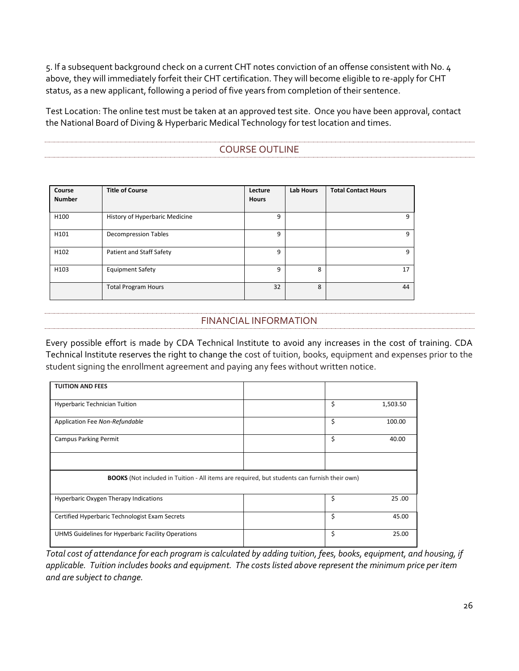5. If a subsequent background check on a current CHT notes conviction of an offense consistent with No. 4 above, they will immediately forfeit their CHT certification. They will become eligible to re-apply for CHT status, as a new applicant, following a period of five years from completion of their sentence.

<span id="page-31-0"></span>Test Location: The online test must be taken at an approved test site. Once you have been approval, contact the National Board of Diving & Hyperbaric Medical Technology for test location and times.

## COURSE OUTLINE

| Course<br><b>Number</b> | <b>Title of Course</b>         | Lecture<br><b>Hours</b> | <b>Lab Hours</b> | <b>Total Contact Hours</b> |
|-------------------------|--------------------------------|-------------------------|------------------|----------------------------|
|                         |                                |                         |                  |                            |
| H <sub>100</sub>        | History of Hyperbaric Medicine | q                       |                  | 9                          |
| H101                    | <b>Decompression Tables</b>    | 9                       |                  | 9                          |
| H <sub>102</sub>        | Patient and Staff Safety       | q                       |                  | 9                          |
| H <sub>103</sub>        | <b>Equipment Safety</b>        | q                       | 8                | 17                         |
|                         | <b>Total Program Hours</b>     | 32                      | 8                | 44                         |

## FINANCIAL INFORMATION

<span id="page-31-1"></span>Every possible effort is made by CDA Technical Institute to avoid any increases in the cost of training. CDA Technical Institute reserves the right to change the cost of tuition, books, equipment and expenses prior to the student signing the enrollment agreement and paying any fees without written notice.

| <b>TUITION AND FEES</b>                                                                             |  |    |          |
|-----------------------------------------------------------------------------------------------------|--|----|----------|
| <b>Hyperbaric Technician Tuition</b>                                                                |  | \$ | 1,503.50 |
| Application Fee Non-Refundable                                                                      |  | \$ | 100.00   |
| <b>Campus Parking Permit</b>                                                                        |  | \$ | 40.00    |
|                                                                                                     |  |    |          |
| <b>BOOKS</b> (Not included in Tuition - All items are required, but students can furnish their own) |  |    |          |
| Hyperbaric Oxygen Therapy Indications                                                               |  | \$ | 25.00    |
| Certified Hyperbaric Technologist Exam Secrets                                                      |  | \$ | 45.00    |
| UHMS Guidelines for Hyperbaric Facility Operations                                                  |  | \$ | 25.00    |

*Total cost of attendance for each program is calculated by adding tuition, fees, books, equipment, and housing, if applicable. Tuition includes books and equipment. The costs listed above represent the minimum price per item and are subject to change.*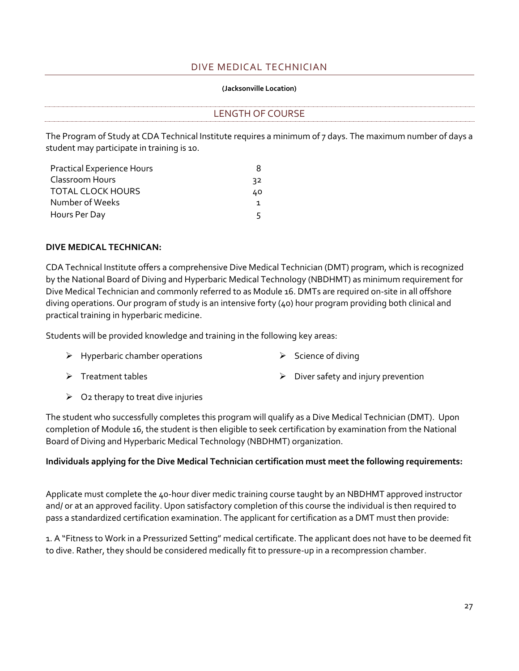## DIVE MEDICAL TECHNICIAN

#### **(Jacksonville Location)**

## <span id="page-32-1"></span><span id="page-32-0"></span>LENGTH OF COURSE

The Program of Study at CDA Technical Institute requires a minimum of 7 days. The maximum number of days a student may participate in training is 10.

| <b>Practical Experience Hours</b> |     |
|-----------------------------------|-----|
| Classroom Hours                   | 32. |
| <b>TOTAL CLOCK HOURS</b>          | 40. |
| Number of Weeks                   |     |
| Hours Per Day                     | ц   |

#### **DIVE MEDICAL TECHNICAN:**

CDA Technical Institute offers a comprehensive Dive Medical Technician (DMT) program, which is recognized by the National Board of Diving and Hyperbaric Medical Technology (NBDHMT) as minimum requirement for Dive Medical Technician and commonly referred to as Module 16. DMTs are required on-site in all offshore diving operations. Our program of study is an intensive forty (40) hour program providing both clinical and practical training in hyperbaric medicine.

Students will be provided knowledge and training in the following key areas:

- ➢ Hyperbaric chamber operations ➢ Science of diving
	-

- 
- ➢ Treatment tables ➢ Diver safety and injury prevention
- $\triangleright$  O2 therapy to treat dive injuries

The student who successfully completes this program will qualify as a Dive Medical Technician (DMT). Upon completion of Module 16, the student is then eligible to seek certification by examination from the National Board of Diving and Hyperbaric Medical Technology (NBDHMT) organization.

## **Individuals applying for the Dive Medical Technician certification must meet the following requirements:**

Applicate must complete the 40-hour diver medic training course taught by an NBDHMT approved instructor and/ or at an approved facility. Upon satisfactory completion of this course the individual is then required to pass a standardized certification examination. The applicant for certification as a DMT must then provide:

1. A "Fitness to Work in a Pressurized Setting" medical certificate. The applicant does not have to be deemed fit to dive. Rather, they should be considered medically fit to pressure-up in a recompression chamber.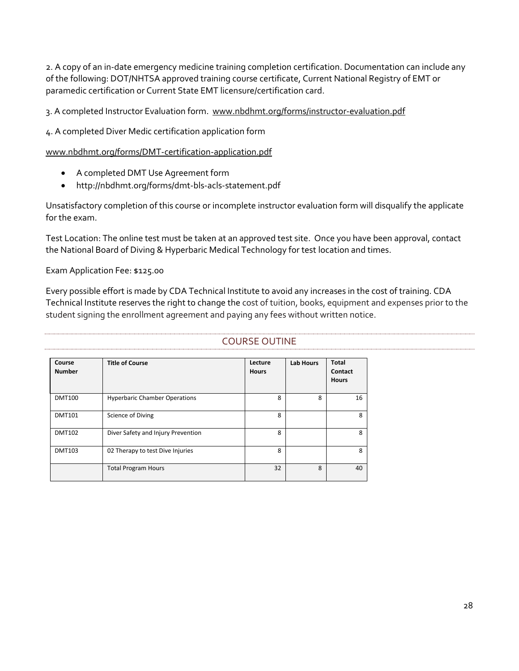2. A copy of an in-date emergency medicine training completion certification. Documentation can include any of the following: DOT/NHTSA approved training course certificate, Current National Registry of EMT or paramedic certification or Current State EMT licensure/certification card.

3. A completed Instructor Evaluation form. [www.nbdhmt.org/forms/instructor-evaluation.pdf](http://www.nbdhmt.org/forms/instructor-evaluation.pdf)

4. A completed Diver Medic certification application form

[www.nbdhmt.org/forms/DMT-certification-application.pdf](http://www.nbdhmt.org/forms/DMT-certification-application.pdf)

- A completed DMT Use Agreement form
- http://nbdhmt.org/forms/dmt-bls-acls-statement.pdf

Unsatisfactory completion of this course or incomplete instructor evaluation form will disqualify the applicate for the exam.

Test Location: The online test must be taken at an approved test site. Once you have been approval, contact the National Board of Diving & Hyperbaric Medical Technology for test location and times.

#### Exam Application Fee: \$125.00

Every possible effort is made by CDA Technical Institute to avoid any increases in the cost of training. CDA Technical Institute reserves the right to change the cost of tuition, books, equipment and expenses prior to the student signing the enrollment agreement and paying any fees without written notice.

<span id="page-33-0"></span>

| Course<br><b>Number</b> | <b>Title of Course</b>               | Lecture<br><b>Hours</b> | <b>Lab Hours</b> | <b>Total</b><br>Contact<br><b>Hours</b> |
|-------------------------|--------------------------------------|-------------------------|------------------|-----------------------------------------|
| <b>DMT100</b>           | <b>Hyperbaric Chamber Operations</b> | 8                       | 8                | 16                                      |
| <b>DMT101</b>           | Science of Diving                    | 8                       |                  | 8                                       |
| <b>DMT102</b>           | Diver Safety and Injury Prevention   | 8                       |                  | 8                                       |
| <b>DMT103</b>           | 02 Therapy to test Dive Injuries     | 8                       |                  | 8                                       |
|                         | <b>Total Program Hours</b>           | 32                      | 8                | 40                                      |

#### COURSE OUTINE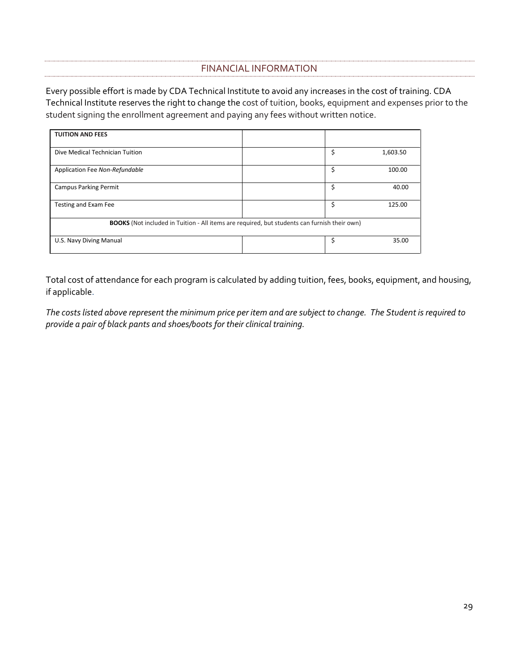## FINANCIAL INFORMATION

<span id="page-34-0"></span>Every possible effort is made by CDA Technical Institute to avoid any increases in the cost of training. CDA Technical Institute reserves the right to change the cost of tuition, books, equipment and expenses prior to the student signing the enrollment agreement and paying any fees without written notice.

| <b>TUITION AND FEES</b>                                                                             |    |          |
|-----------------------------------------------------------------------------------------------------|----|----------|
|                                                                                                     |    |          |
|                                                                                                     |    |          |
| Dive Medical Technician Tuition                                                                     | \$ | 1,603.50 |
|                                                                                                     |    |          |
|                                                                                                     |    |          |
| Application Fee Non-Refundable                                                                      | \$ | 100.00   |
|                                                                                                     |    |          |
|                                                                                                     |    |          |
| <b>Campus Parking Permit</b>                                                                        | \$ | 40.00    |
|                                                                                                     |    |          |
|                                                                                                     |    |          |
| Testing and Exam Fee                                                                                | Ś  | 125.00   |
|                                                                                                     |    |          |
|                                                                                                     |    |          |
| <b>BOOKS</b> (Not included in Tuition - All items are required, but students can furnish their own) |    |          |
|                                                                                                     |    |          |
|                                                                                                     |    |          |
| U.S. Navy Diving Manual                                                                             | Ś  | 35.00    |
|                                                                                                     |    |          |
|                                                                                                     |    |          |

Total cost of attendance for each program is calculated by adding tuition, fees, books, equipment, and housing, if applicable.

*The costs listed above represent the minimum price per item and are subject to change. The Student is required to provide a pair of black pants and shoes/boots for their clinical training.*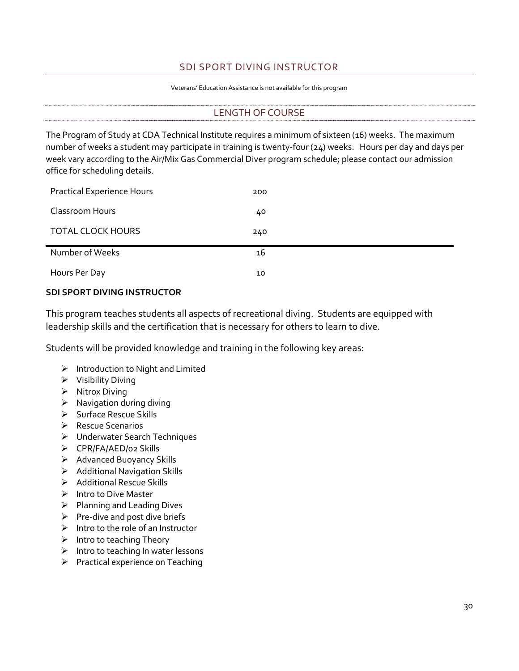## SDI SPORT DIVING INSTRUCTOR

#### Veterans' Education Assistance is not available for this program

#### LENGTH OF COURSE

<span id="page-35-1"></span><span id="page-35-0"></span>The Program of Study at CDA Technical Institute requires a minimum of sixteen (16) weeks. The maximum number of weeks a student may participate in training is twenty-four (24) weeks. Hours per day and days per week vary according to the Air/Mix Gas Commercial Diver program schedule; please contact our admission office for scheduling details.

| <b>Practical Experience Hours</b> | 200 |
|-----------------------------------|-----|
| Classroom Hours                   | 40  |
| <b>TOTAL CLOCK HOURS</b>          | 240 |
| Number of Weeks                   | 16  |
| Hours Per Day                     | 10  |

#### **SDI SPORT DIVING INSTRUCTOR**

This program teaches students all aspects of recreational diving. Students are equipped with leadership skills and the certification that is necessary for others to learn to dive.

Students will be provided knowledge and training in the following key areas:

- ➢ Introduction to Night and Limited
- ➢ Visibility Diving
- ➢ Nitrox Diving
- ➢ Navigation during diving
- ➢ Surface Rescue Skills
- ➢ Rescue Scenarios
- ➢ Underwater Search Techniques
- ➢ CPR/FA/AED/02 Skills
- ➢ Advanced Buoyancy Skills
- ➢ Additional Navigation Skills
- ➢ Additional Rescue Skills
- ➢ Intro to Dive Master
- ➢ Planning and Leading Dives
- $\triangleright$  Pre-dive and post dive briefs
- $\triangleright$  Intro to the role of an Instructor
- $\triangleright$  Intro to teaching Theory
- ➢ Intro to teaching In water lessons
- ➢ Practical experience on Teaching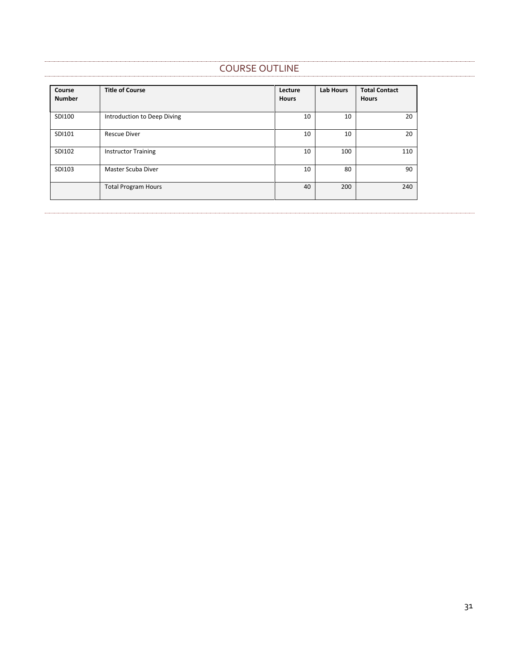## COURSE OUTLINE

<span id="page-36-0"></span>

| Course<br><b>Number</b> | <b>Title of Course</b>      | Lecture<br><b>Hours</b> | <b>Lab Hours</b> | <b>Total Contact</b><br><b>Hours</b> |
|-------------------------|-----------------------------|-------------------------|------------------|--------------------------------------|
| SDI100                  | Introduction to Deep Diving | 10                      | 10               | 20                                   |
| SDI101                  | <b>Rescue Diver</b>         | 10                      | 10               | 20                                   |
| SDI102                  | <b>Instructor Training</b>  | 10                      | 100              | 110                                  |
| SDI103                  | Master Scuba Diver          | 10                      | 80               | 90                                   |
|                         | <b>Total Program Hours</b>  | 40                      | 200              | 240                                  |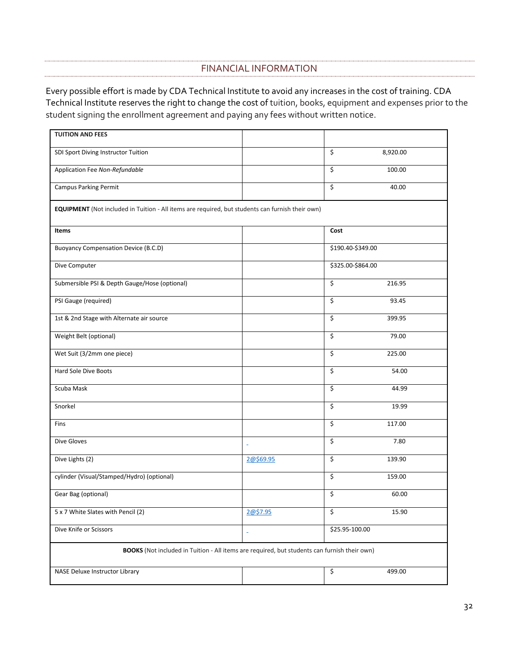## FINANCIAL INFORMATION

<span id="page-37-0"></span>Every possible effort is made by CDA Technical Institute to avoid any increases in the cost of training. CDA Technical Institute reserves the right to change the cost of tuition, books, equipment and expenses prior to the student signing the enrollment agreement and paying any fees without written notice.

| <b>TUITION AND FEES</b>                                                                                 |           |                                   |  |
|---------------------------------------------------------------------------------------------------------|-----------|-----------------------------------|--|
| SDI Sport Diving Instructor Tuition                                                                     |           | \$<br>8,920.00                    |  |
| Application Fee Non-Refundable                                                                          |           | \$<br>100.00                      |  |
| <b>Campus Parking Permit</b>                                                                            |           | \$<br>40.00                       |  |
| <b>EQUIPMENT</b> (Not included in Tuition - All items are required, but students can furnish their own) |           |                                   |  |
| Items                                                                                                   |           | Cost                              |  |
| <b>Buoyancy Compensation Device (B.C.D)</b>                                                             |           | \$190.40-\$349.00                 |  |
| Dive Computer                                                                                           |           | \$325.00-\$864.00                 |  |
| Submersible PSI & Depth Gauge/Hose (optional)                                                           |           | \$<br>216.95                      |  |
| PSI Gauge (required)                                                                                    |           | \$<br>93.45                       |  |
| 1st & 2nd Stage with Alternate air source                                                               |           | \$<br>399.95                      |  |
| Weight Belt (optional)                                                                                  |           | \$<br>79.00                       |  |
| Wet Suit (3/2mm one piece)                                                                              |           | \$<br>225.00                      |  |
| <b>Hard Sole Dive Boots</b>                                                                             |           | \$<br>54.00                       |  |
| Scuba Mask                                                                                              |           | \$<br>44.99                       |  |
| Snorkel                                                                                                 |           | \$<br>19.99                       |  |
| Fins                                                                                                    |           | \$<br>117.00                      |  |
| Dive Gloves                                                                                             | ä         | \$<br>7.80                        |  |
| Dive Lights (2)                                                                                         | 2@\$69.95 | \$<br>139.90                      |  |
| cylinder (Visual/Stamped/Hydro) (optional)                                                              |           | $\overline{\mathsf{S}}$<br>159.00 |  |
| Gear Bag (optional)                                                                                     |           | \$<br>60.00                       |  |
| 5 x 7 White Slates with Pencil (2)                                                                      | 2@\$7.95  | \$<br>15.90                       |  |
| Dive Knife or Scissors                                                                                  | ä,        | \$25.95-100.00                    |  |
| BOOKS (Not included in Tuition - All items are required, but students can furnish their own)            |           |                                   |  |
| NASE Deluxe Instructor Library                                                                          |           | \$<br>499.00                      |  |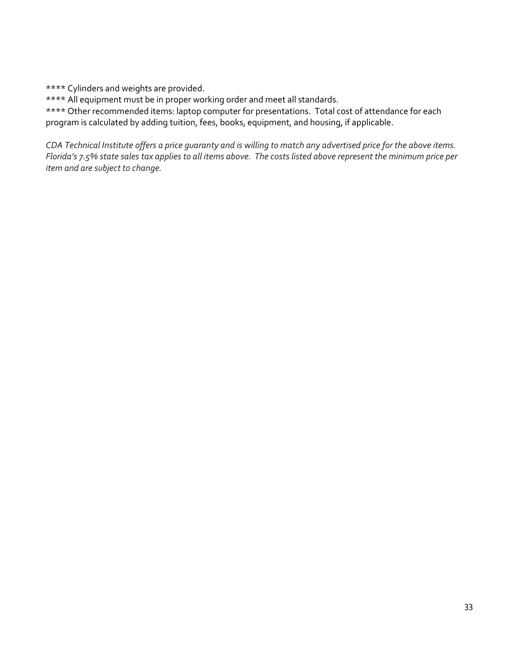\*\*\*\* Cylinders and weights are provided.

\*\*\*\* All equipment must be in proper working order and meet all standards.

\*\*\*\* Other recommended items: laptop computer for presentations. Total cost of attendance for each program is calculated by adding tuition, fees, books, equipment, and housing, if applicable.

*CDA Technical Institute offers a price guaranty and is willing to match any advertised price for the above items. Florida's 7.5% state sales tax applies to all items above. The costs listed above represent the minimum price per item and are subject to change.*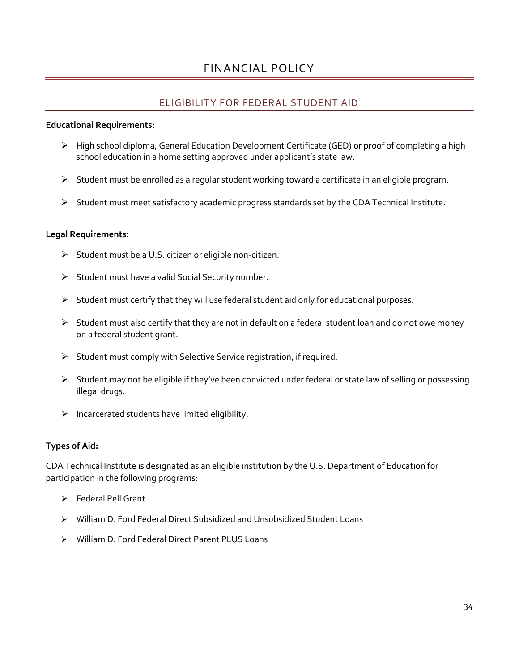## FINANCIAL POLICY

## ELIGIBILITY FOR FEDERAL STUDENT AID

#### <span id="page-39-1"></span><span id="page-39-0"></span>**Educational Requirements:**

- ➢ High school diploma, General Education Development Certificate (GED) or proof of completing a high school education in a home setting approved under applicant's state law.
- $\triangleright$  Student must be enrolled as a regular student working toward a certificate in an eligible program.
- ➢ Student must meet satisfactory academic progress standards set by the CDA Technical Institute.

#### **Legal Requirements:**

- $\triangleright$  Student must be a U.S. citizen or eligible non-citizen.
- ➢ Student must have a valid Social Security number.
- $\triangleright$  Student must certify that they will use federal student aid only for educational purposes.
- ➢ Student must also certify that they are not in default on a federal student loan and do not owe money on a federal student grant.
- ➢ Student must comply with Selective Service registration, if required.
- ➢ Student may not be eligible if they've been convicted under federal or state law of selling or possessing illegal drugs.
- $\triangleright$  Incarcerated students have limited eligibility.

#### **Types of Aid:**

CDA Technical Institute is designated as an eligible institution by the U.S. Department of Education for participation in the following programs:

- ➢ Federal Pell Grant
- ➢ William D. Ford Federal Direct Subsidized and Unsubsidized Student Loans
- ➢ William D. Ford Federal Direct Parent PLUS Loans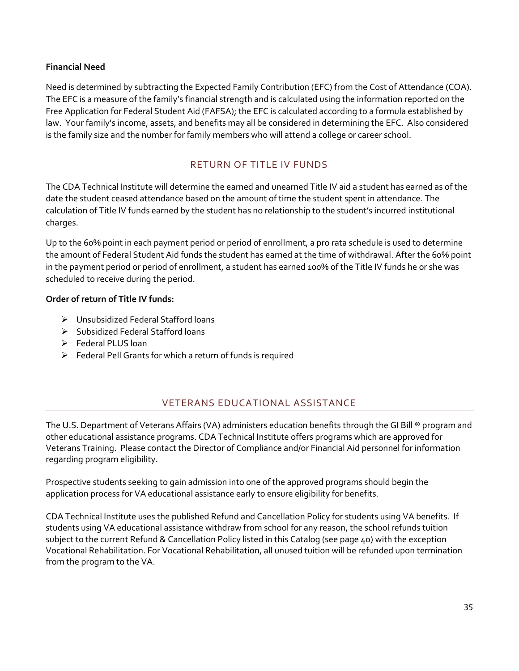#### **Financial Need**

Need is determined by subtracting the Expected Family Contribution (EFC) from the Cost of Attendance (COA). The EFC is a measure of the family's financial strength and is calculated using the information reported on the Free Application for Federal Student Aid (FAFSA); the EFC is calculated according to a formula established by law. Your family's income, assets, and benefits may all be considered in determining the EFC. Also considered is the family size and the number for family members who will attend a college or career school.

## RETURN OF TITLE IV FUNDS

<span id="page-40-0"></span>The CDA Technical Institute will determine the earned and unearned Title IV aid a student has earned as of the date the student ceased attendance based on the amount of time the student spent in attendance. The calculation of Title IV funds earned by the student has no relationship to the student's incurred institutional charges.

Up to the 60% point in each payment period or period of enrollment, a pro rata schedule is used to determine the amount of Federal Student Aid funds the student has earned at the time of withdrawal. After the 60% point in the payment period or period of enrollment, a student has earned 100% of the Title IV funds he or she was scheduled to receive during the period.

#### **Order of return of Title IV funds:**

- ➢ Unsubsidized Federal Stafford loans
- ➢ Subsidized Federal Stafford loans
- ➢ Federal PLUS loan
- ➢ Federal Pell Grants for which a return of funds is required

## VETERANS EDUCATIONAL ASSISTANCE

<span id="page-40-1"></span>The U.S. Department of Veterans Affairs (VA) administers education benefits through the GI Bill ® program and other educational assistance programs. CDA Technical Institute offers programs which are approved for Veterans Training. Please contact the Director of Compliance and/or Financial Aid personnel for information regarding program eligibility.

Prospective students seeking to gain admission into one of the approved programs should begin the application process for VA educational assistance early to ensure eligibility for benefits.

CDA Technical Institute uses the published Refund and Cancellation Policy for students using VA benefits. If students using VA educational assistance withdraw from school for any reason, the school refunds tuition subject to the current Refund & Cancellation Policy listed in this Catalog (see page 40) with the exception Vocational Rehabilitation. For Vocational Rehabilitation, all unused tuition will be refunded upon termination from the program to the VA.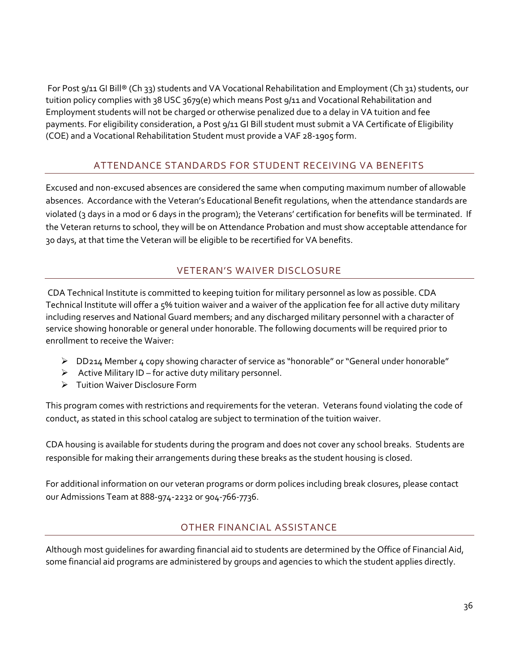For Post 9/11 GI Bill® (Ch 33) students and VA Vocational Rehabilitation and Employment (Ch 31) students, our tuition policy complies with 38 USC 3679(e) which means Post 9/11 and Vocational Rehabilitation and Employment students will not be charged or otherwise penalized due to a delay in VA tuition and fee payments. For eligibility consideration, a Post 9/11 GI Bill student must submit a VA Certificate of Eligibility (COE) and a Vocational Rehabilitation Student must provide a VAF 28-1905 form.

## ATTENDANCE STANDARDS FOR STUDENT RECEIVING VA BENEFITS

<span id="page-41-0"></span>Excused and non-excused absences are considered the same when computing maximum number of allowable absences. Accordance with the Veteran's Educational Benefit regulations, when the attendance standards are violated (3 days in a mod or 6 days in the program); the Veterans' certification for benefits will be terminated. If the Veteran returns to school, they will be on Attendance Probation and must show acceptable attendance for 30 days, at that time the Veteran will be eligible to be recertified for VA benefits.

## VETERAN'S WAIVER DISCLOSURE

<span id="page-41-1"></span>CDA Technical Institute is committed to keeping tuition for military personnel as low as possible. CDA Technical Institute will offer a 5% tuition waiver and a waiver of the application fee for all active duty military including reserves and National Guard members; and any discharged military personnel with a character of service showing honorable or general under honorable. The following documents will be required prior to enrollment to receive the Waiver:

- ➢ DD214 Member 4 copy showing character of service as "honorable" or "General under honorable"
- $\triangleright$  Active Military ID for active duty military personnel.
- ➢ Tuition Waiver Disclosure Form

This program comes with restrictions and requirements for the veteran. Veterans found violating the code of conduct, as stated in this school catalog are subject to termination of the tuition waiver.

CDA housing is available for students during the program and does not cover any school breaks. Students are responsible for making their arrangements during these breaks as the student housing is closed.

For additional information on our veteran programs or dorm polices including break closures, please contact our Admissions Team at 888-974-2232 or 904-766-7736.

## OTHER FINANCIAL ASSISTANCE

<span id="page-41-2"></span>Although most guidelines for awarding financial aid to students are determined by the Office of Financial Aid, some financial aid programs are administered by groups and agencies to which the student applies directly.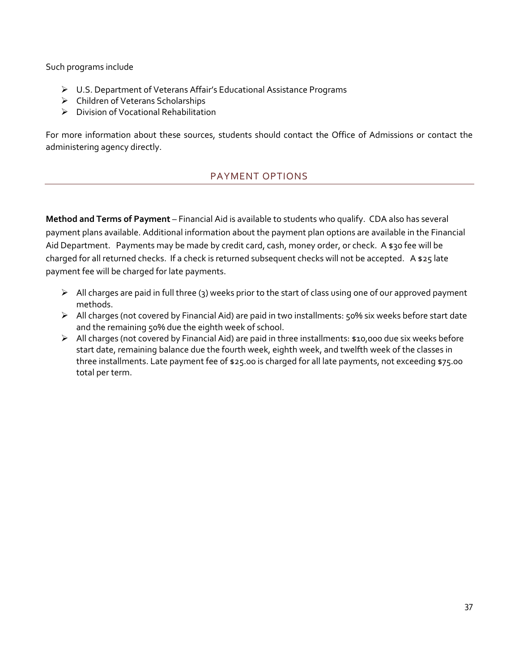Such programs include

- ➢ U.S. Department of Veterans Affair's Educational Assistance Programs
- ➢ Children of Veterans Scholarships
- ➢ Division of Vocational Rehabilitation

<span id="page-42-0"></span>For more information about these sources, students should contact the Office of Admissions or contact the administering agency directly.

## PAYMENT OPTIONS

**Method and Terms of Payment** – Financial Aid is available to students who qualify. CDA also has several payment plans available. Additional information about the payment plan options are available in the Financial Aid Department. Payments may be made by credit card, cash, money order, or check. A \$30 fee will be charged for all returned checks. If a check is returned subsequent checks will not be accepted. A \$25 late payment fee will be charged for late payments.

- ➢ All charges are paid in full three (3) weeks prior to the start of class using one of our approved payment methods.
- ➢ All charges (not covered by Financial Aid) are paid in two installments: 50% six weeks before start date and the remaining 50% due the eighth week of school.
- ➢ All charges (not covered by Financial Aid) are paid in three installments: \$10,000 due six weeks before start date, remaining balance due the fourth week, eighth week, and twelfth week of the classes in three installments. Late payment fee of \$25.00 is charged for all late payments, not exceeding \$75.00 total per term.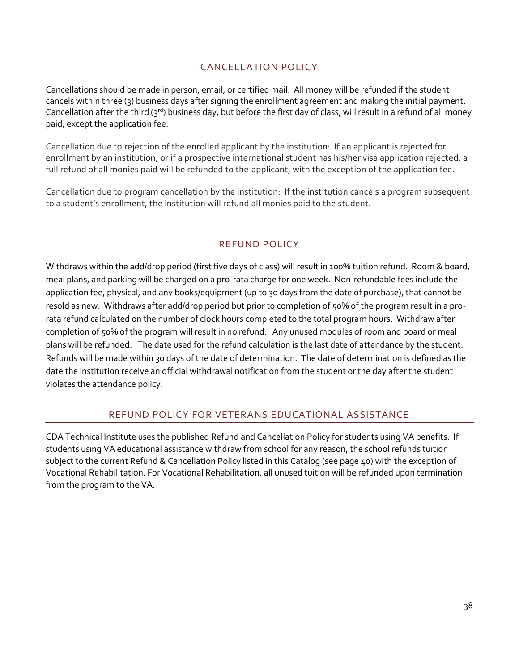## CANCELLATION POLICY

<span id="page-43-0"></span>Cancellations should be made in person, email, or certified mail. All money will be refunded if the student cancels within three (3) business days after signing the enrollment agreement and making the initial payment. Cancellation after the third ( $3^{rd}$ ) business day, but before the first day of class, will result in a refund of all money paid, except the application fee.

Cancellation due to rejection of the enrolled applicant by the institution: If an applicant is rejected for enrollment by an institution, or if a prospective international student has his/her visa application rejected, a full refund of all monies paid will be refunded to the applicant, with the exception of the application fee.

Cancellation due to program cancellation by the institution: If the institution cancels a program subsequent to a student's enrollment, the institution will refund all monies paid to the student.

## REFUND POLICY

<span id="page-43-1"></span>Withdraws within the add/drop period (first five days of class) will result in 100% tuition refund. Room & board, meal plans, and parking will be charged on a pro-rata charge for one week. Non-refundable fees include the application fee, physical, and any books/equipment (up to 30 days from the date of purchase), that cannot be resold as new. Withdraws after add/drop period but prior to completion of 50% of the program result in a prorata refund calculated on the number of clock hours completed to the total program hours. Withdraw after completion of 50% of the program will result in no refund. Any unused modules of room and board or meal plans will be refunded. The date used for the refund calculation is the last date of attendance by the student. Refunds will be made within 30 days of the date of determination. The date of determination is defined as the date the institution receive an official withdrawal notification from the student or the day after the student violates the attendance policy.

## REFUND POLICY FOR VETERANS EDUCATIONAL ASSISTANCE

<span id="page-43-2"></span>CDA Technical Institute uses the published Refund and Cancellation Policy for students using VA benefits. If students using VA educational assistance withdraw from school for any reason, the school refunds tuition subject to the current Refund & Cancellation Policy listed in this Catalog (see page 40) with the exception of Vocational Rehabilitation. For Vocational Rehabilitation, all unused tuition will be refunded upon termination from the program to the VA.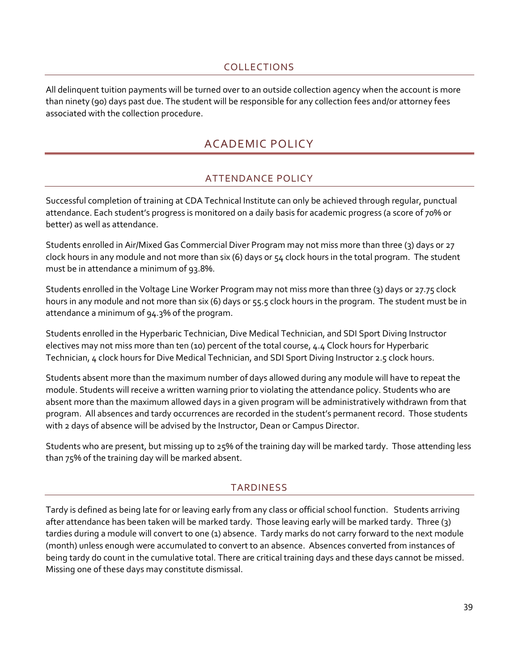## COLLECTIONS

<span id="page-44-1"></span><span id="page-44-0"></span>All delinquent tuition payments will be turned over to an outside collection agency when the account is more than ninety (90) days past due. The student will be responsible for any collection fees and/or attorney fees associated with the collection procedure.

## ACADEMIC POLICY

## ATTENDANCE POLICY

<span id="page-44-2"></span>Successful completion of training at CDA Technical Institute can only be achieved through regular, punctual attendance. Each student's progress is monitored on a daily basis for academic progress (a score of 70% or better) as well as attendance.

Students enrolled in Air/Mixed Gas Commercial Diver Program may not miss more than three (3) days or 27 clock hours in any module and not more than six (6) days or 54 clock hours in the total program. The student must be in attendance a minimum of 93.8%.

Students enrolled in the Voltage Line Worker Program may not miss more than three (3) days or 27.75 clock hours in any module and not more than six (6) days or 55.5 clock hours in the program. The student must be in attendance a minimum of 94.3% of the program.

Students enrolled in the Hyperbaric Technician, Dive Medical Technician, and SDI Sport Diving Instructor electives may not miss more than ten (10) percent of the total course, 4.4 Clock hours for Hyperbaric Technician, 4 clock hours for Dive Medical Technician, and SDI Sport Diving Instructor 2.5 clock hours.

Students absent more than the maximum number of days allowed during any module will have to repeat the module. Students will receive a written warning prior to violating the attendance policy. Students who are absent more than the maximum allowed days in a given program will be administratively withdrawn from that program. All absences and tardy occurrences are recorded in the student's permanent record. Those students with 2 days of absence will be advised by the Instructor, Dean or Campus Director.

<span id="page-44-3"></span>Students who are present, but missing up to 25% of the training day will be marked tardy. Those attending less than 75% of the training day will be marked absent.

## TARDINESS

Tardy is defined as being late for or leaving early from any class or official school function. Students arriving after attendance has been taken will be marked tardy. Those leaving early will be marked tardy. Three (3) tardies during a module will convert to one (1) absence. Tardy marks do not carry forward to the next module (month) unless enough were accumulated to convert to an absence. Absences converted from instances of being tardy do count in the cumulative total. There are critical training days and these days cannot be missed. Missing one of these days may constitute dismissal.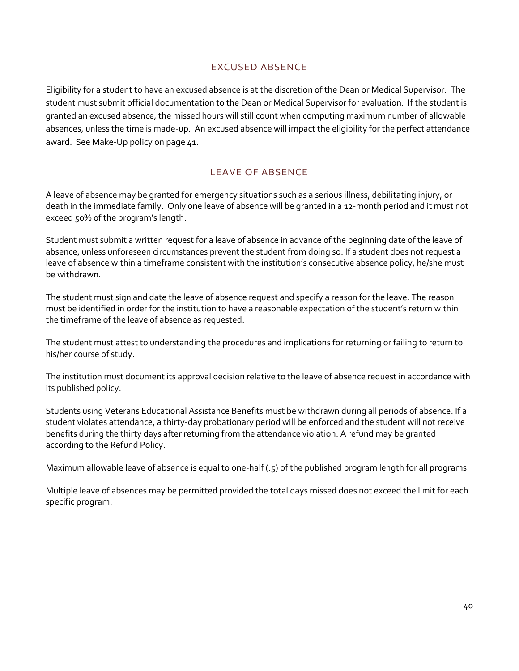## EXCUSED ABSENCE

<span id="page-45-0"></span>Eligibility for a student to have an excused absence is at the discretion of the Dean or Medical Supervisor. The student must submit official documentation to the Dean or Medical Supervisor for evaluation. If the student is granted an excused absence, the missed hours will still count when computing maximum number of allowable absences, unless the time is made-up. An excused absence will impact the eligibility for the perfect attendance award. See Make-Up policy on page 41.

## LEAVE OF ABSENCE

<span id="page-45-1"></span>A leave of absence may be granted for emergency situations such as a serious illness, debilitating injury, or death in the immediate family. Only one leave of absence will be granted in a 12-month period and it must not exceed 50% of the program's length.

Student must submit a written request for a leave of absence in advance of the beginning date of the leave of absence, unless unforeseen circumstances prevent the student from doing so. If a student does not request a leave of absence within a timeframe consistent with the institution's consecutive absence policy, he/she must be withdrawn.

The student must sign and date the leave of absence request and specify a reason for the leave. The reason must be identified in order for the institution to have a reasonable expectation of the student's return within the timeframe of the leave of absence as requested.

The student must attest to understanding the procedures and implications for returning or failing to return to his/her course of study.

The institution must document its approval decision relative to the leave of absence request in accordance with its published policy.

Students using Veterans Educational Assistance Benefits must be withdrawn during all periods of absence. If a student violates attendance, a thirty-day probationary period will be enforced and the student will not receive benefits during the thirty days after returning from the attendance violation. A refund may be granted according to the Refund Policy.

Maximum allowable leave of absence is equal to one-half (.5) of the published program length for all programs.

Multiple leave of absences may be permitted provided the total days missed does not exceed the limit for each specific program.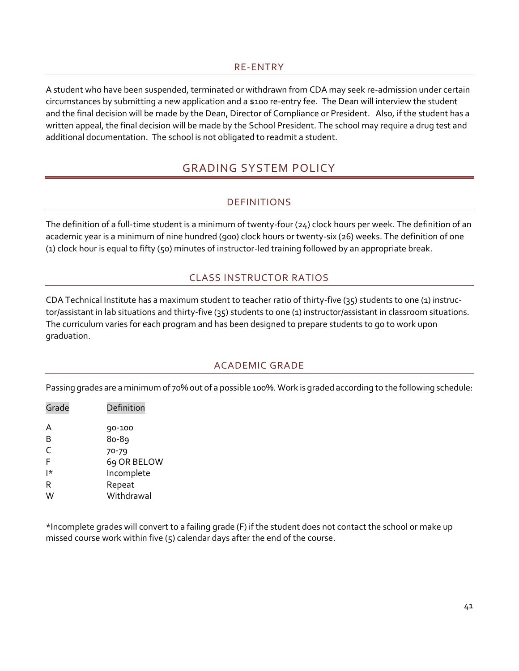#### RE-ENTRY

<span id="page-46-1"></span><span id="page-46-0"></span>A student who have been suspended, terminated or withdrawn from CDA may seek re-admission under certain circumstances by submitting a new application and a \$100 re-entry fee. The Dean will interview the student and the final decision will be made by the Dean, Director of Compliance or President. Also, if the student has a written appeal, the final decision will be made by the School President. The school may require a drug test and additional documentation. The school is not obligated to readmit a student.

## GRADING SYSTEM POLICY

## DEFINITIONS

<span id="page-46-2"></span>The definition of a full-time student is a minimum of twenty-four (24) clock hours per week. The definition of an academic year is a minimum of nine hundred (900) clock hours or twenty-six (26) weeks. The definition of one (1) clock hour is equal to fifty (50) minutes of instructor-led training followed by an appropriate break.

## CLASS INSTRUCTOR RATIOS

<span id="page-46-3"></span>CDA Technical Institute has a maximum student to teacher ratio of thirty-five (35) students to one (1) instructor/assistant in lab situations and thirty-five (35) students to one (1) instructor/assistant in classroom situations. The curriculum varies for each program and has been designed to prepare students to go to work upon graduation.

## ACADEMIC GRADE

<span id="page-46-4"></span>Passing grades are a minimum of 70% out of a possible 100%. Work is graded according to the following schedule:

| Grade | Definition  |
|-------|-------------|
| A     | 90-100      |
| B     | 80-89       |
| C     | 70-79       |
| F     | 69 OR BELOW |
| l*    | Incomplete  |
| R     | Repeat      |
|       | Withdrawal  |

\*Incomplete grades will convert to a failing grade (F) if the student does not contact the school or make up missed course work within five  $(5)$  calendar days after the end of the course.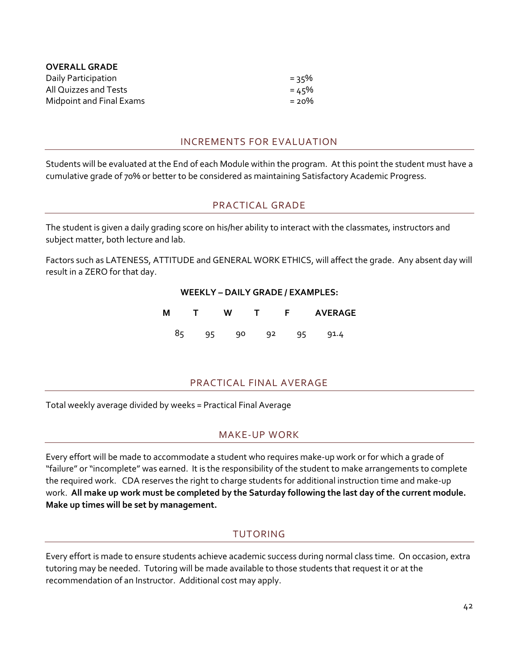| <b>OVERALL GRADE</b>     |          |
|--------------------------|----------|
| Daily Participation      | = २८%    |
| All Quizzes and Tests    | = 45%    |
| Midpoint and Final Exams | $= 20\%$ |

#### INCREMENTS FOR EVALUATION

<span id="page-47-1"></span><span id="page-47-0"></span>Students will be evaluated at the End of each Module within the program. At this point the student must have a cumulative grade of 70% or better to be considered as maintaining Satisfactory Academic Progress.

## PRACTICAL GRADE

The student is given a daily grading score on his/her ability to interact with the classmates, instructors and subject matter, both lecture and lab.

Factors such as LATENESS, ATTITUDE and GENERAL WORK ETHICS, will affect the grade. Any absent day will result in a ZERO for that day.

#### **WEEKLY – DAILY GRADE / EXAMPLES:**

| M |    | W |    |    |    | <b>AVERAGE</b> |
|---|----|---|----|----|----|----------------|
|   | 95 |   | 90 | 92 | 95 | 91.4           |

#### PRACTICAL FINAL AVERAGE

<span id="page-47-3"></span><span id="page-47-2"></span>Total weekly average divided by weeks = Practical Final Average

#### MAKE-UP WORK

Every effort will be made to accommodate a student who requires make-up work or for which a grade of "failure" or "incomplete" was earned. It is the responsibility of the student to make arrangements to complete the required work. CDA reserves the right to charge students for additional instruction time and make-up work. **All make up work must be completed by the Saturday following the last day of the current module. Make up times will be set by management.**

#### TUTORING

<span id="page-47-4"></span>Every effort is made to ensure students achieve academic success during normal class time. On occasion, extra tutoring may be needed. Tutoring will be made available to those students that request it or at the recommendation of an Instructor. Additional cost may apply.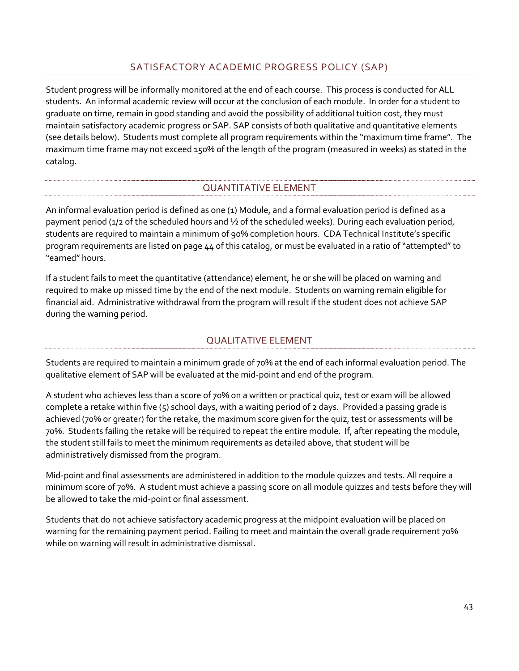## SATISFACTORY ACADEMIC PROGRESS POLICY (SAP)

<span id="page-48-0"></span>Student progress will be informally monitored at the end of each course. This process is conducted for ALL students. An informal academic review will occur at the conclusion of each module. In order for a student to graduate on time, remain in good standing and avoid the possibility of additional tuition cost, they must maintain satisfactory academic progress or SAP. SAP consists of both qualitative and quantitative elements (see details below). Students must complete all program requirements within the "maximum time frame". The maximum time frame may not exceed 150% of the length of the program (measured in weeks) as stated in the catalog.

## QUANTITATIVE ELEMENT

<span id="page-48-1"></span>An informal evaluation period is defined as one (1) Module, and a formal evaluation period is defined as a payment period (1/2 of the scheduled hours and ½ of the scheduled weeks). During each evaluation period, students are required to maintain a minimum of 90% completion hours. CDA Technical Institute's specific program requirements are listed on page 44 of this catalog, or must be evaluated in a ratio of "attempted" to "earned" hours.

If a student fails to meet the quantitative (attendance) element, he or she will be placed on warning and required to make up missed time by the end of the next module. Students on warning remain eligible for financial aid. Administrative withdrawal from the program will result if the student does not achieve SAP during the warning period.

## QUALITATIVE ELEMENT

<span id="page-48-2"></span>Students are required to maintain a minimum grade of 70% at the end of each informal evaluation period. The qualitative element of SAP will be evaluated at the mid-point and end of the program.

A student who achieves less than a score of 70% on a written or practical quiz, test or exam will be allowed complete a retake within five (5) school days, with a waiting period of 2 days. Provided a passing grade is achieved (70% or greater) for the retake, the maximum score given for the quiz, test or assessments will be 70%. Students failing the retake will be required to repeat the entire module. If, after repeating the module, the student still fails to meet the minimum requirements as detailed above, that student will be administratively dismissed from the program.

Mid-point and final assessments are administered in addition to the module quizzes and tests. All require a minimum score of 70%. A student must achieve a passing score on all module quizzes and tests before they will be allowed to take the mid-point or final assessment.

Students that do not achieve satisfactory academic progress at the midpoint evaluation will be placed on warning for the remaining payment period. Failing to meet and maintain the overall grade requirement 70% while on warning will result in administrative dismissal.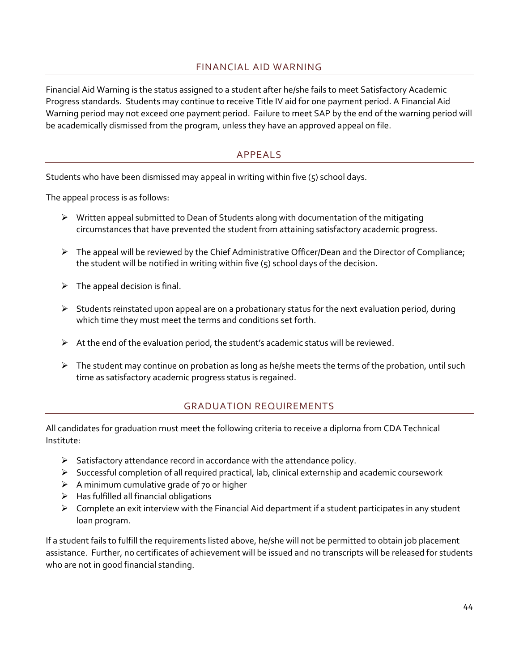## FINANCIAL AID WARNING

<span id="page-49-0"></span>Financial Aid Warning is the status assigned to a student after he/she fails to meet Satisfactory Academic Progress standards. Students may continue to receive Title IV aid for one payment period. A Financial Aid Warning period may not exceed one payment period. Failure to meet SAP by the end of the warning period will be academically dismissed from the program, unless they have an approved appeal on file.

#### APPEALS

<span id="page-49-1"></span>Students who have been dismissed may appeal in writing within five (5) school days.

The appeal process is as follows:

- $\triangleright$  Written appeal submitted to Dean of Students along with documentation of the mitigating circumstances that have prevented the student from attaining satisfactory academic progress.
- $\triangleright$  The appeal will be reviewed by the Chief Administrative Officer/Dean and the Director of Compliance; the student will be notified in writing within five  $(5)$  school days of the decision.
- $\triangleright$  The appeal decision is final.
- $\triangleright$  Students reinstated upon appeal are on a probationary status for the next evaluation period, during which time they must meet the terms and conditions set forth.
- $\triangleright$  At the end of the evaluation period, the student's academic status will be reviewed.
- <span id="page-49-2"></span> $\triangleright$  The student may continue on probation as long as he/she meets the terms of the probation, until such time as satisfactory academic progress status is regained.

## GRADUATION REQUIREMENTS

All candidates for graduation must meet the following criteria to receive a diploma from CDA Technical Institute:

- ➢ Satisfactory attendance record in accordance with the attendance policy.
- ➢ Successful completion of all required practical, lab, clinical externship and academic coursework
- $\triangleright$  A minimum cumulative grade of 70 or higher
- $\triangleright$  Has fulfilled all financial obligations
- ➢ Complete an exit interview with the Financial Aid department if a student participates in any student loan program.

If a student fails to fulfill the requirements listed above, he/she will not be permitted to obtain job placement assistance. Further, no certificates of achievement will be issued and no transcripts will be released for students who are not in good financial standing.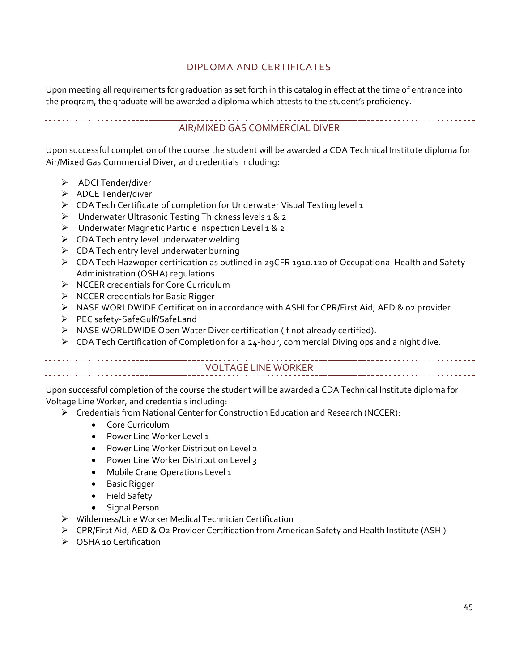## DIPLOMA AND CERTIFICATES

<span id="page-50-0"></span>Upon meeting all requirements for graduation as set forth in this catalog in effect at the time of entrance into the program, the graduate will be awarded a diploma which attests to the student's proficiency.

### AIR/MIXED GAS COMMERCIAL DIVER

<span id="page-50-1"></span>Upon successful completion of the course the student will be awarded a CDA Technical Institute diploma for Air/Mixed Gas Commercial Diver, and credentials including:

- ➢ ADCI Tender/diver
- ➢ ADCE Tender/diver
- ➢ CDA Tech Certificate of completion for Underwater Visual Testing level 1
- ➢ Underwater Ultrasonic Testing Thickness levels 1 & 2
- ➢ Underwater Magnetic Particle Inspection Level 1 & 2
- $\triangleright$  CDA Tech entry level underwater welding
- $\triangleright$  CDA Tech entry level underwater burning
- ➢ CDA Tech Hazwoper certification as outlined in 29CFR 1910.120 of Occupational Health and Safety Administration (OSHA) regulations
- ➢ NCCER credentials for Core Curriculum
- ➢ NCCER credentials for Basic Rigger
- ➢ NASE WORLDWIDE Certification in accordance with ASHI for CPR/First Aid, AED & 02 provider
- ➢ PEC safety-SafeGulf/SafeLand
- ➢ NASE WORLDWIDE Open Water Diver certification (if not already certified).
- <span id="page-50-2"></span>➢ CDA Tech Certification of Completion for a 24-hour, commercial Diving ops and a night dive.

#### VOLTAGE LINE WORKER

Upon successful completion of the course the student will be awarded a CDA Technical Institute diploma for Voltage Line Worker, and credentials including:

- ➢ Credentials from National Center for Construction Education and Research (NCCER):
	- Core Curriculum
	- Power Line Worker Level 1
	- Power Line Worker Distribution Level 2
	- Power Line Worker Distribution Level 3
	- Mobile Crane Operations Level 1
	- Basic Rigger
	- Field Safety
	- Signal Person
- ➢ Wilderness/Line Worker Medical Technician Certification
- ➢ CPR/First Aid, AED & O2 Provider Certification from American Safety and Health Institute (ASHI)
- ➢ OSHA 10 Certification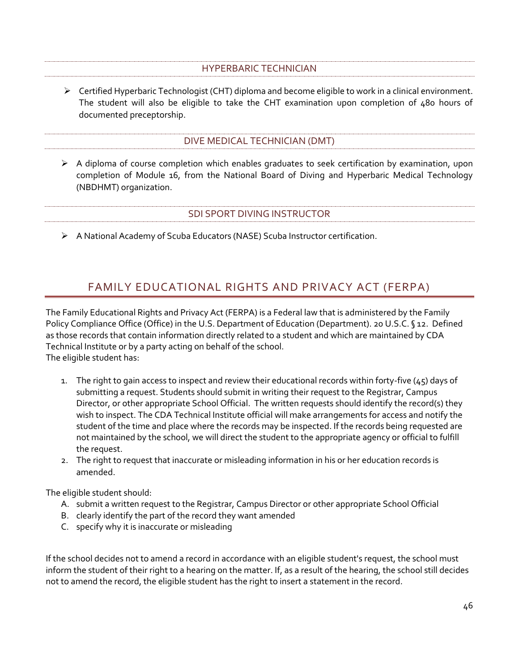#### HYPERBARIC TECHNICIAN

<span id="page-51-0"></span>➢ Certified Hyperbaric Technologist (CHT) diploma and become eligible to work in a clinical environment. The student will also be eligible to take the CHT examination upon completion of 480 hours of documented preceptorship.

#### DIVE MEDICAL TECHNICIAN (DMT)

<span id="page-51-1"></span> $\triangleright$  A diploma of course completion which enables graduates to seek certification by examination, upon completion of Module 16, from the National Board of Diving and Hyperbaric Medical Technology (NBDHMT) organization.

#### SDI SPORT DIVING INSTRUCTOR

<span id="page-51-2"></span>➢ A National Academy of Scuba Educators (NASE) Scuba Instructor certification.

## FAMILY EDUCATIONAL RIGHTS AND PRIVACY ACT (FERPA)

<span id="page-51-3"></span>The Family Educational Rights and Privacy Act (FERPA) is a Federal law that is administered by the Family Policy Compliance Office (Office) in the U.S. Department of Education (Department). 20 U.S.C. § 12. Defined as those records that contain information directly related to a student and which are maintained by CDA Technical Institute or by a party acting on behalf of the school. The eligible student has:

- 1. The right to gain access to inspect and review their educational records within forty-five  $(45)$  days of submitting a request. Students should submit in writing their request to the Registrar, Campus Director, or other appropriate School Official. The written requests should identify the record(s) they wish to inspect. The CDA Technical Institute official will make arrangements for access and notify the student of the time and place where the records may be inspected. If the records being requested are not maintained by the school, we will direct the student to the appropriate agency or official to fulfill
	- 2. The right to request that inaccurate or misleading information in his or her education records is amended.

The eligible student should:

the request.

- A. submit a written request to the Registrar, Campus Director or other appropriate School Official
- B. clearly identify the part of the record they want amended
- C. specify why it is inaccurate or misleading

If the school decides not to amend a record in accordance with an eligible student's request, the school must inform the student of their right to a hearing on the matter. If, as a result of the hearing, the school still decides not to amend the record, the eligible student has the right to insert a statement in the record.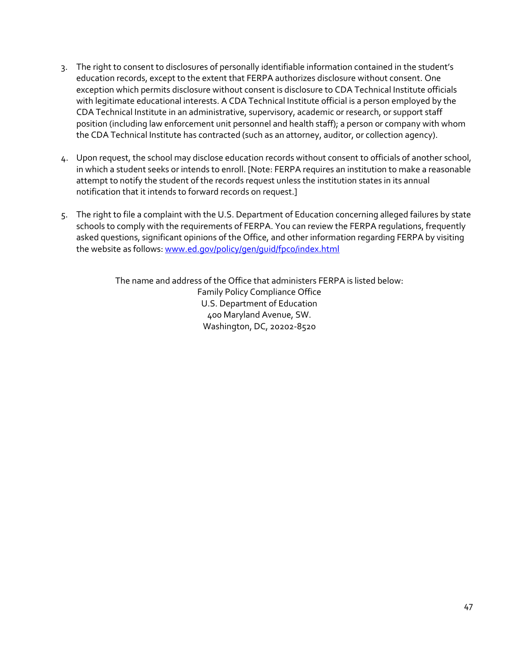- 3. The right to consent to disclosures of personally identifiable information contained in the student's education records, except to the extent that FERPA authorizes disclosure without consent. One exception which permits disclosure without consent is disclosure to CDA Technical Institute officials with legitimate educational interests. A CDA Technical Institute official is a person employed by the CDA Technical Institute in an administrative, supervisory, academic or research, or support staff position (including law enforcement unit personnel and health staff); a person or company with whom the CDA Technical Institute has contracted (such as an attorney, auditor, or collection agency).
- 4. Upon request, the school may disclose education records without consent to officials of another school, in which a student seeks or intends to enroll. [Note: FERPA requires an institution to make a reasonable attempt to notify the student of the records request unless the institution states in its annual notification that it intends to forward records on request.]
- 5. The right to file a complaint with the U.S. Department of Education concerning alleged failures by state schools to comply with the requirements of FERPA. You can review the FERPA regulations, frequently asked questions, significant opinions of the Office, and other information regarding FERPA by visiting the website as follows: [www.ed.gov/policy/gen/guid/fpco/index.html](http://www.ed.gov/policy/gen/guid/fpco/index.html)

The name and address of the Office that administers FERPA is listed below: Family Policy Compliance Office U.S. Department of Education 400 Maryland Avenue, SW. Washington, DC, 20202-8520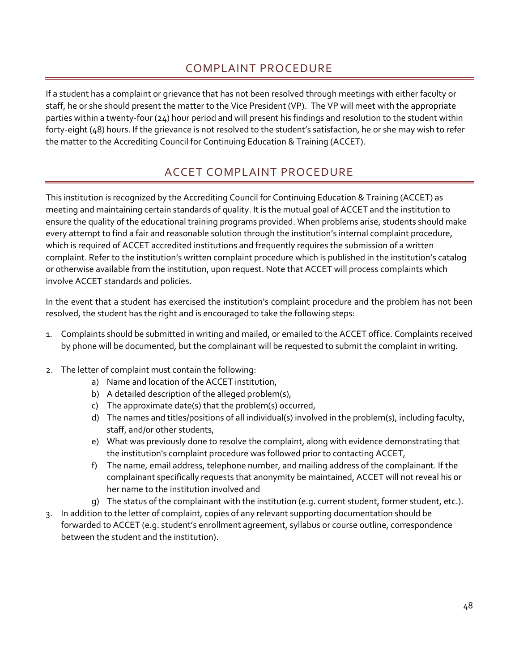## COMPLAINT PROCEDURE

<span id="page-53-0"></span>If a student has a complaint or grievance that has not been resolved through meetings with either faculty or staff, he or she should present the matter to the Vice President (VP). The VP will meet with the appropriate parties within a twenty-four (24) hour period and will present his findings and resolution to the student within forty-eight (48) hours. If the grievance is not resolved to the student's satisfaction, he or she may wish to refer the matter to the Accrediting Council for Continuing Education & Training (ACCET).

## ACCET COMPLAINT PROCEDURE

<span id="page-53-1"></span>This institution is recognized by the Accrediting Council for Continuing Education & Training (ACCET) as meeting and maintaining certain standards of quality. It is the mutual goal of ACCET and the institution to ensure the quality of the educational training programs provided. When problems arise, students should make every attempt to find a fair and reasonable solution through the institution's internal complaint procedure, which is required of ACCET accredited institutions and frequently requires the submission of a written complaint. Refer to the institution's written complaint procedure which is published in the institution's catalog or otherwise available from the institution, upon request. Note that ACCET will process complaints which involve ACCET standards and policies.

In the event that a student has exercised the institution's complaint procedure and the problem has not been resolved, the student has the right and is encouraged to take the following steps:

- 1. Complaints should be submitted in writing and mailed, or emailed to the ACCET office. Complaints received by phone will be documented, but the complainant will be requested to submit the complaint in writing.
- 2. The letter of complaint must contain the following:
	- a) Name and location of the ACCET institution,
	- b) A detailed description of the alleged problem(s),
	- c) The approximate date(s) that the problem(s) occurred,
	- d) The names and titles/positions of all individual(s) involved in the problem(s), including faculty, staff, and/or other students,
	- e) What was previously done to resolve the complaint, along with evidence demonstrating that the institution's complaint procedure was followed prior to contacting ACCET,
	- f) The name, email address, telephone number, and mailing address of the complainant. If the complainant specifically requests that anonymity be maintained, ACCET will not reveal his or her name to the institution involved and
	- g) The status of the complainant with the institution (e.g. current student, former student, etc.).
- 3. In addition to the letter of complaint, copies of any relevant supporting documentation should be forwarded to ACCET (e.g. student's enrollment agreement, syllabus or course outline, correspondence between the student and the institution).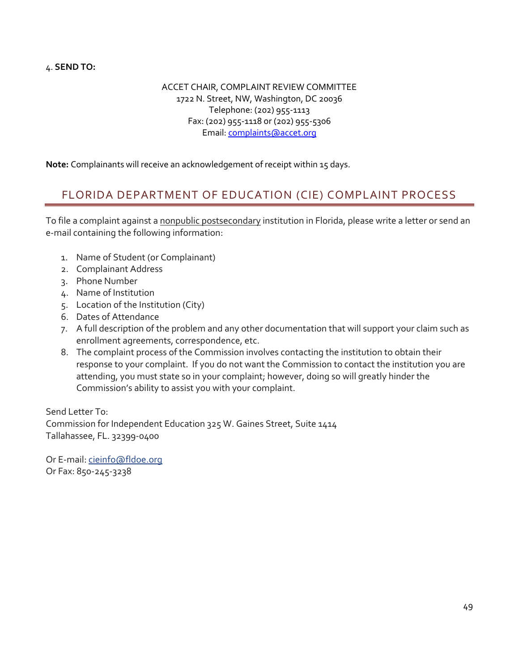4. **SEND TO:** 

ACCET CHAIR, COMPLAINT REVIEW COMMITTEE 1722 N. Street, NW, Washington, DC 20036 Telephone: (202) 955-1113 Fax: (202) 955-1118 or (202) 955-5306 Email[: complaints@accet.org](mailto:complaints@accet.org)

<span id="page-54-0"></span>**Note:** Complainants will receive an acknowledgement of receipt within 15 days.

## FLORIDA DEPARTMENT OF EDUCATION (CIE) COMPLAINT PROCESS

To file a complaint against a nonpublic postsecondary institution in Florida, please write a letter or send an e-mail containing the following information:

- 1. Name of Student (or Complainant)
- 2. Complainant Address
- 3. Phone Number
- 4. Name of Institution
- 5. Location of the Institution (City)
- 6. Dates of Attendance
- 7. A full description of the problem and any other documentation that will support your claim such as enrollment agreements, correspondence, etc.
- 8. The complaint process of the Commission involves contacting the institution to obtain their response to your complaint. If you do not want the Commission to contact the institution you are attending, you must state so in your complaint; however, doing so will greatly hinder the Commission's ability to assist you with your complaint.

Send Letter To: Commission for Independent Education 325 W. Gaines Street, Suite 1414 Tallahassee, FL. 32399-0400

Or E-mail[: cieinfo@fldoe.org](mailto:cieinfo@fldoe.org?subject=) Or Fax: 850-245-3238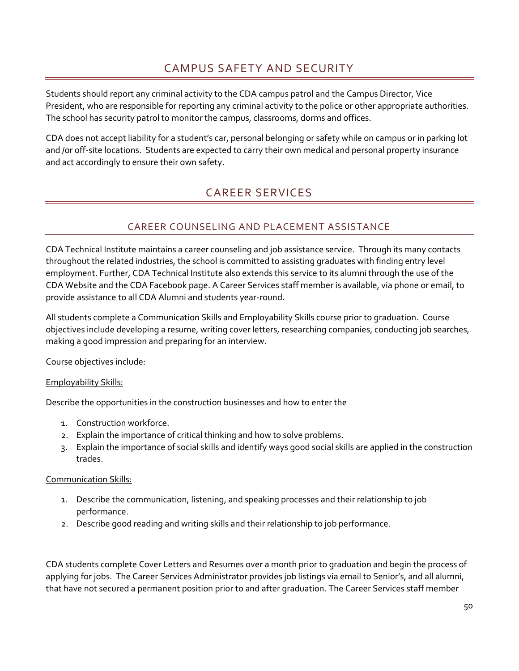## CAMPUS SAFETY AND SECURITY

<span id="page-55-0"></span>Students should report any criminal activity to the CDA campus patrol and the Campus Director, Vice President, who are responsible for reporting any criminal activity to the police or other appropriate authorities. The school has security patrol to monitor the campus, classrooms, dorms and offices.

<span id="page-55-1"></span>CDA does not accept liability for a student's car, personal belonging or safety while on campus or in parking lot and /or off-site locations. Students are expected to carry their own medical and personal property insurance and act accordingly to ensure their own safety.

## CAREER SERVICES

## CAREER COUNSELING AND PLACEMENT ASSISTANCE

<span id="page-55-2"></span>CDA Technical Institute maintains a career counseling and job assistance service. Through its many contacts throughout the related industries, the school is committed to assisting graduates with finding entry level employment. Further, CDA Technical Institute also extends this service to its alumni through the use of the CDA Website and the CDA Facebook page. A Career Services staff member is available, via phone or email, to provide assistance to all CDA Alumni and students year-round.

All students complete a Communication Skills and Employability Skills course prior to graduation. Course objectives include developing a resume, writing cover letters, researching companies, conducting job searches, making a good impression and preparing for an interview.

Course objectives include:

#### Employability Skills:

Describe the opportunities in the construction businesses and how to enter the

- 1. Construction workforce.
- 2. Explain the importance of critical thinking and how to solve problems.
- 3. Explain the importance of social skills and identify ways good social skills are applied in the construction trades.

#### Communication Skills:

- 1. Describe the communication, listening, and speaking processes and their relationship to job performance.
- 2. Describe good reading and writing skills and their relationship to job performance.

CDA students complete Cover Letters and Resumes over a month prior to graduation and begin the process of applying for jobs. The Career Services Administrator provides job listings via email to Senior's, and all alumni, that have not secured a permanent position prior to and after graduation. The Career Services staff member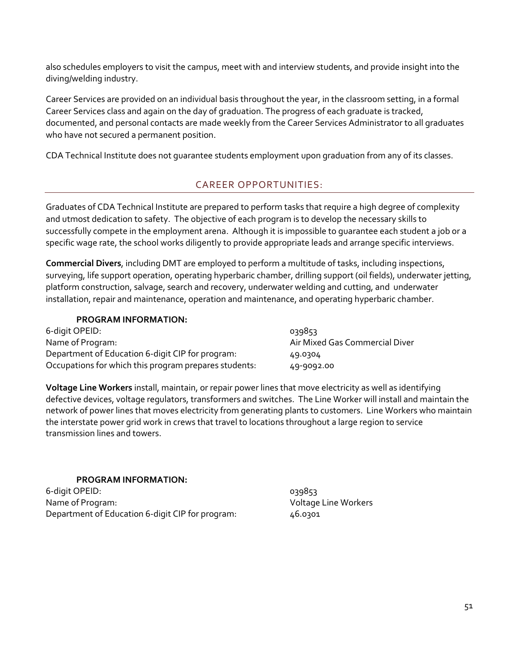also schedules employers to visit the campus, meet with and interview students, and provide insight into the diving/welding industry.

Career Services are provided on an individual basis throughout the year, in the classroom setting, in a formal Career Services class and again on the day of graduation. The progress of each graduate is tracked, documented, and personal contacts are made weekly from the Career Services Administrator to all graduates who have not secured a permanent position.

<span id="page-56-0"></span>CDA Technical Institute does not guarantee students employment upon graduation from any of its classes.

## CAREER OPPORTUNITIES:

Graduates of CDA Technical Institute are prepared to perform tasks that require a high degree of complexity and utmost dedication to safety. The objective of each program is to develop the necessary skills to successfully compete in the employment arena. Although it is impossible to guarantee each student a job or a specific wage rate, the school works diligently to provide appropriate leads and arrange specific interviews.

**Commercial Divers**, including DMT are employed to perform a multitude of tasks, including inspections, surveying, life support operation, operating hyperbaric chamber, drilling support (oil fields), underwater jetting, platform construction, salvage, search and recovery, underwater welding and cutting, and underwater installation, repair and maintenance, operation and maintenance, and operating hyperbaric chamber.

#### **PROGRAM INFORMATION:**

| 6-digit OPEID:                                        | 039853                         |
|-------------------------------------------------------|--------------------------------|
| Name of Program:                                      | Air Mixed Gas Commercial Diver |
| Department of Education 6-digit CIP for program:      | 49.0304                        |
| Occupations for which this program prepares students: | 49-9092.00                     |

**Voltage Line Workers** install, maintain, or repair power lines that move electricity as well as identifying defective devices, voltage regulators, transformers and switches. The Line Worker will install and maintain the network of power lines that moves electricity from generating plants to customers. Line Workers who maintain the interstate power grid work in crews that travel to locations throughout a large region to service transmission lines and towers.

#### **PROGRAM INFORMATION:**

<span id="page-56-1"></span>6-digit OPEID: 039853 Name of Program: Voltage Line Workers Department of Education 6-digit CIP for program: 46.0301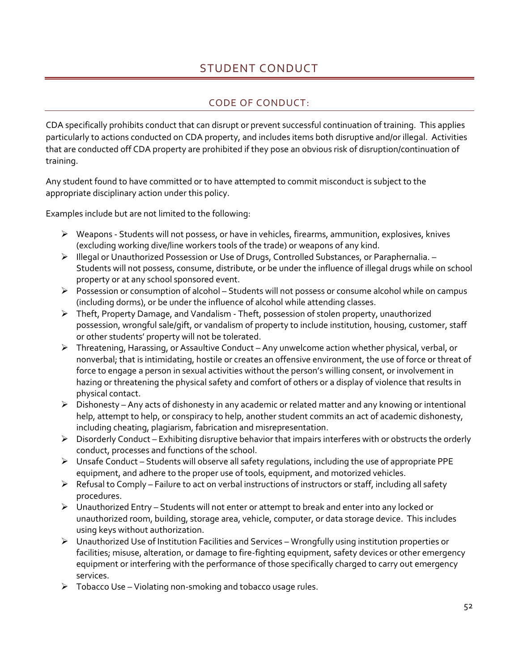## STUDENT CONDUCT

## CODE OF CONDUCT:

<span id="page-57-0"></span>CDA specifically prohibits conduct that can disrupt or prevent successful continuation of training. This applies particularly to actions conducted on CDA property, and includes items both disruptive and/or illegal. Activities that are conducted off CDA property are prohibited if they pose an obvious risk of disruption/continuation of training.

Any student found to have committed or to have attempted to commit misconduct is subject to the appropriate disciplinary action under this policy.

Examples include but are not limited to the following:

- ➢ Weapons Students will not possess, or have in vehicles, firearms, ammunition, explosives, knives (excluding working dive/line workers tools of the trade) or weapons of any kind.
- ➢ Illegal or Unauthorized Possession or Use of Drugs, Controlled Substances, or Paraphernalia. Students will not possess, consume, distribute, or be under the influence of illegal drugs while on school property or at any school sponsored event.
- ➢ Possession or consumption of alcohol Students will not possess or consume alcohol while on campus (including dorms), or be under the influence of alcohol while attending classes.
- ➢ Theft, Property Damage, and Vandalism Theft, possession of stolen property, unauthorized possession, wrongful sale/gift, or vandalism of property to include institution, housing, customer, staff or other students' property will not be tolerated.
- ➢ Threatening, Harassing, or Assaultive Conduct Any unwelcome action whether physical, verbal, or nonverbal; that is intimidating, hostile or creates an offensive environment, the use of force or threat of force to engage a person in sexual activities without the person's willing consent, or involvement in hazing or threatening the physical safety and comfort of others or a display of violence that results in physical contact.
- ➢ Dishonesty Any acts of dishonesty in any academic or related matter and any knowing or intentional help, attempt to help, or conspiracy to help, another student commits an act of academic dishonesty, including cheating, plagiarism, fabrication and misrepresentation.
- ➢ Disorderly Conduct Exhibiting disruptive behavior that impairs interferes with or obstructs the orderly conduct, processes and functions of the school.
- ➢ Unsafe Conduct Students will observe all safety regulations, including the use of appropriate PPE equipment, and adhere to the proper use of tools, equipment, and motorized vehicles.
- ➢ Refusal to Comply Failure to act on verbal instructions of instructors or staff, including all safety procedures.
- ➢ Unauthorized Entry Students will not enter or attempt to break and enter into any locked or unauthorized room, building, storage area, vehicle, computer, or data storage device. This includes using keys without authorization.
- ➢ Unauthorized Use of Institution Facilities and Services Wrongfully using institution properties or facilities; misuse, alteration, or damage to fire-fighting equipment, safety devices or other emergency equipment or interfering with the performance of those specifically charged to carry out emergency services.
- ➢ Tobacco Use Violating non-smoking and tobacco usage rules.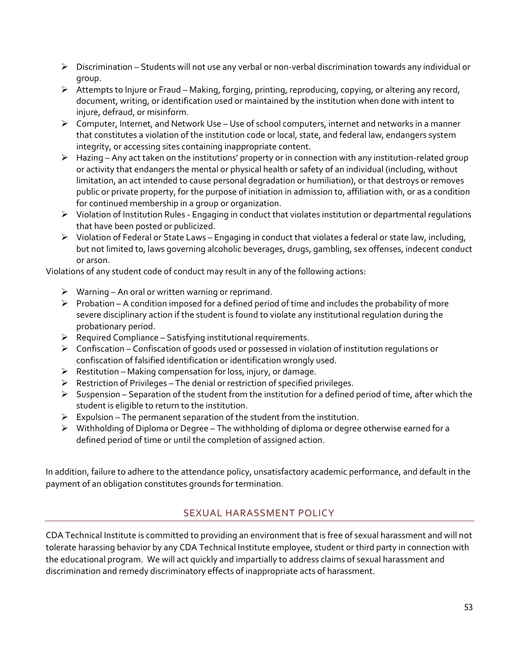- ➢ Discrimination Students will not use any verbal or non-verbal discrimination towards any individual or group.
- ➢ Attempts to Injure or Fraud Making, forging, printing, reproducing, copying, or altering any record, document, writing, or identification used or maintained by the institution when done with intent to injure, defraud, or misinform.
- ➢ Computer, Internet, and Network Use Use of school computers, internet and networks in a manner that constitutes a violation of the institution code or local, state, and federal law, endangers system integrity, or accessing sites containing inappropriate content.
- ➢ Hazing Any act taken on the institutions' property or in connection with any institution-related group or activity that endangers the mental or physical health or safety of an individual (including, without limitation, an act intended to cause personal degradation or humiliation), or that destroys or removes public or private property, for the purpose of initiation in admission to, affiliation with, or as a condition for continued membership in a group or organization.
- ➢ Violation of Institution Rules Engaging in conduct that violates institution or departmental regulations that have been posted or publicized.
- ➢ Violation of Federal or State Laws Engaging in conduct that violates a federal or state law, including, but not limited to, laws governing alcoholic beverages, drugs, gambling, sex offenses, indecent conduct or arson.

Violations of any student code of conduct may result in any of the following actions:

- $\triangleright$  Warning An oral or written warning or reprimand.
- ➢ Probation A condition imposed for a defined period of time and includes the probability of more severe disciplinary action if the student is found to violate any institutional regulation during the probationary period.
- $\triangleright$  Required Compliance Satisfying institutional requirements.
- ➢ Confiscation Confiscation of goods used or possessed in violation of institution regulations or confiscation of falsified identification or identification wrongly used.
- $\triangleright$  Restitution Making compensation for loss, injury, or damage.
- $\triangleright$  Restriction of Privileges The denial or restriction of specified privileges.
- ➢ Suspension Separation of the student from the institution for a defined period of time, after which the student is eligible to return to the institution.
- $\triangleright$  Expulsion The permanent separation of the student from the institution.
- ➢ Withholding of Diploma or Degree The withholding of diploma or degree otherwise earned for a defined period of time or until the completion of assigned action.

In addition, failure to adhere to the attendance policy, unsatisfactory academic performance, and default in the payment of an obligation constitutes grounds for termination.

## SEXUAL HARASSMENT POLICY

<span id="page-58-0"></span>CDA Technical Institute is committed to providing an environment that is free of sexual harassment and will not tolerate harassing behavior by any CDA Technical Institute employee, student or third party in connection with the educational program. We will act quickly and impartially to address claims of sexual harassment and discrimination and remedy discriminatory effects of inappropriate acts of harassment.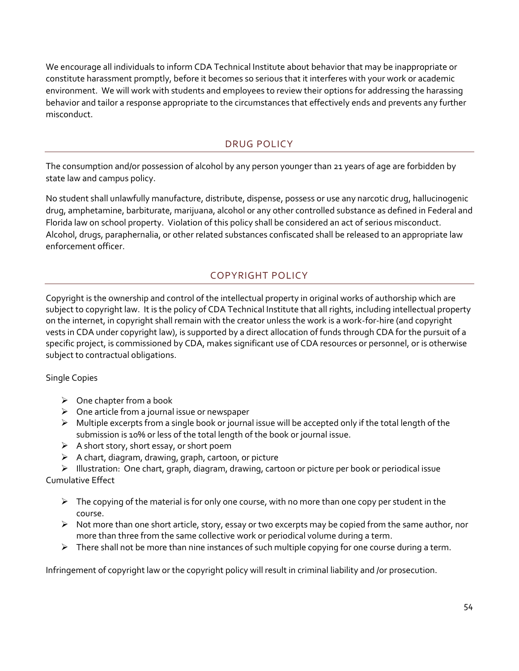We encourage all individuals to inform CDA Technical Institute about behavior that may be inappropriate or constitute harassment promptly, before it becomes so serious that it interferes with your work or academic environment. We will work with students and employees to review their options for addressing the harassing behavior and tailor a response appropriate to the circumstances that effectively ends and prevents any further misconduct.

## DRUG POLICY

<span id="page-59-0"></span>The consumption and/or possession of alcohol by any person younger than 21 years of age are forbidden by state law and campus policy.

No student shall unlawfully manufacture, distribute, dispense, possess or use any narcotic drug, hallucinogenic drug, amphetamine, barbiturate, marijuana, alcohol or any other controlled substance as defined in Federal and Florida law on school property. Violation of this policy shall be considered an act of serious misconduct. Alcohol, drugs, paraphernalia, or other related substances confiscated shall be released to an appropriate law enforcement officer.

## COPYRIGHT POLICY

<span id="page-59-1"></span>Copyright is the ownership and control of the intellectual property in original works of authorship which are subject to copyright law. It is the policy of CDA Technical Institute that all rights, including intellectual property on the internet, in copyright shall remain with the creator unless the work is a work-for-hire (and copyright vests in CDA under copyright law), is supported by a direct allocation of funds through CDA for the pursuit of a specific project, is commissioned by CDA, makes significant use of CDA resources or personnel, or is otherwise subject to contractual obligations.

## Single Copies

- $\triangleright$  One chapter from a book
- $\triangleright$  One article from a journal issue or newspaper
- $\triangleright$  Multiple excerpts from a single book or journal issue will be accepted only if the total length of the submission is 10% or less of the total length of the book or journal issue.
- $\triangleright$  A short story, short essay, or short poem
- $\triangleright$  A chart, diagram, drawing, graph, cartoon, or picture

➢ Illustration: One chart, graph, diagram, drawing, cartoon or picture per book or periodical issue Cumulative Effect

- $\triangleright$  The copying of the material is for only one course, with no more than one copy per student in the course.
- $\triangleright$  Not more than one short article, story, essay or two excerpts may be copied from the same author, nor more than three from the same collective work or periodical volume during a term.
- ➢ There shall not be more than nine instances of such multiple copying for one course during a term.

Infringement of copyright law or the copyright policy will result in criminal liability and /or prosecution.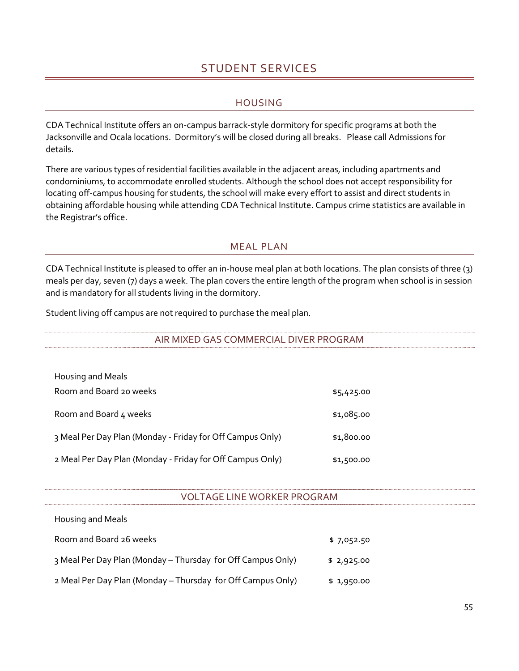## STUDENT SERVICES

#### **HOUSING**

<span id="page-60-1"></span><span id="page-60-0"></span>CDA Technical Institute offers an on-campus barrack-style dormitory for specific programs at both the Jacksonville and Ocala locations. Dormitory's will be closed during all breaks. Please call Admissions for details.

There are various types of residential facilities available in the adjacent areas, including apartments and condominiums, to accommodate enrolled students. Although the school does not accept responsibility for locating off-campus housing for students, the school will make every effort to assist and direct students in obtaining affordable housing while attending CDA Technical Institute. Campus crime statistics are available in the Registrar's office.

#### MEAL PLAN

<span id="page-60-2"></span>CDA Technical Institute is pleased to offer an in-house meal plan at both locations. The plan consists of three (3) meals per day, seven (7) days a week. The plan covers the entire length of the program when school is in session and is mandatory for all students living in the dormitory.

<span id="page-60-3"></span>Student living off campus are not required to purchase the meal plan.

AIR MIXED GAS COMMERCIAL DIVER PROGRAM

| Housing and Meals                                         |            |
|-----------------------------------------------------------|------------|
| Room and Board 20 weeks                                   | \$5,425.00 |
| Room and Board 4 weeks                                    | \$1,085.00 |
| 3 Meal Per Day Plan (Monday - Friday for Off Campus Only) | \$1,800.00 |
| 2 Meal Per Day Plan (Monday - Friday for Off Campus Only) | \$1,500.00 |

#### VOLTAGE LINE WORKER PROGRAM

<span id="page-60-4"></span>

| Housing and Meals                                           |            |  |
|-------------------------------------------------------------|------------|--|
| Room and Board 26 weeks                                     | \$7,052.50 |  |
| 3 Meal Per Day Plan (Monday - Thursday for Off Campus Only) | \$2,925.00 |  |
| 2 Meal Per Day Plan (Monday - Thursday for Off Campus Only) | \$1,950.00 |  |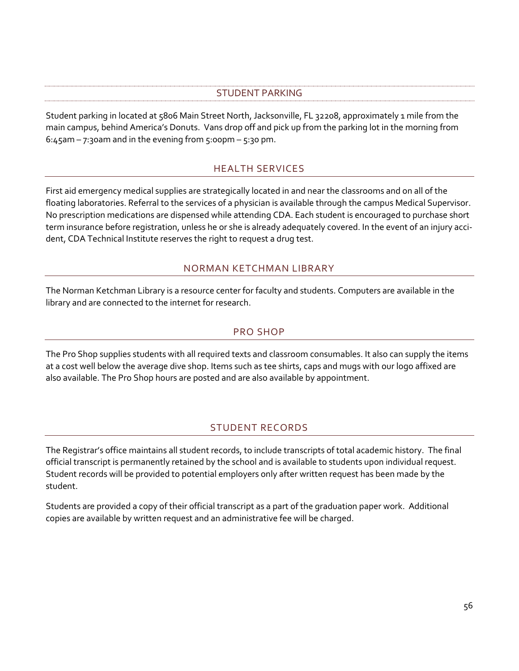## STUDENT PARKING

<span id="page-61-0"></span>Student parking in located at 5806 Main Street North, Jacksonville, FL 32208, approximately 1 mile from the main campus, behind America's Donuts. Vans drop off and pick up from the parking lot in the morning from 6:45am – 7:30am and in the evening from  $5:00$ pm –  $5:30$  pm.

## HEALTH SERVICES

<span id="page-61-1"></span>First aid emergency medical supplies are strategically located in and near the classrooms and on all of the floating laboratories. Referral to the services of a physician is available through the campus Medical Supervisor. No prescription medications are dispensed while attending CDA. Each student is encouraged to purchase short term insurance before registration, unless he or she is already adequately covered. In the event of an injury accident, CDA Technical Institute reserves the right to request a drug test.

## NORMAN KETCHMAN LIBRARY

<span id="page-61-2"></span>The Norman Ketchman Library is a resource center for faculty and students. Computers are available in the library and are connected to the internet for research.

## PRO SHOP

<span id="page-61-3"></span>The Pro Shop supplies students with all required texts and classroom consumables. It also can supply the items at a cost well below the average dive shop. Items such as tee shirts, caps and mugs with our logo affixed are also available. The Pro Shop hours are posted and are also available by appointment.

## STUDENT RECORDS

<span id="page-61-4"></span>The Registrar's office maintains all student records, to include transcripts of total academic history. The final official transcript is permanently retained by the school and is available to students upon individual request. Student records will be provided to potential employers only after written request has been made by the student.

Students are provided a copy of their official transcript as a part of the graduation paper work. Additional copies are available by written request and an administrative fee will be charged.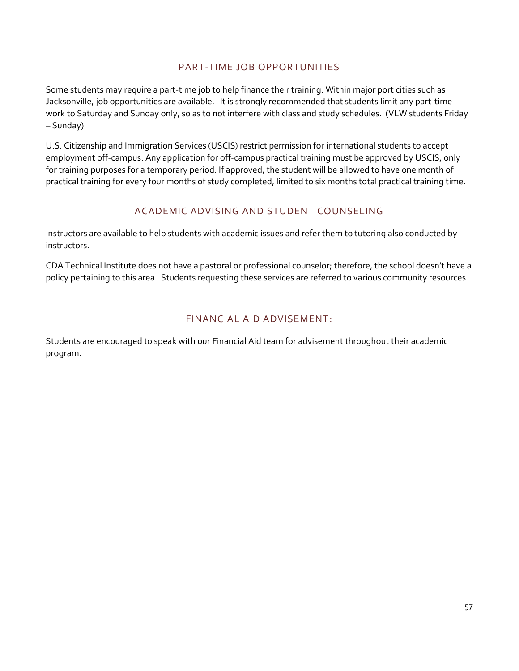## PART-TIME JOB OPPORTUNITIES

<span id="page-62-0"></span>Some students may require a part-time job to help finance their training. Within major port cities such as Jacksonville, job opportunities are available. It is strongly recommended that students limit any part-time work to Saturday and Sunday only, so as to not interfere with class and study schedules. (VLW students Friday – Sunday)

U.S. Citizenship and Immigration Services (USCIS) restrict permission for international students to accept employment off-campus. Any application for off-campus practical training must be approved by USCIS, only for training purposes for a temporary period. If approved, the student will be allowed to have one month of practical training for every four months of study completed, limited to six months total practical training time.

## ACADEMIC ADVISING AND STUDENT COUNSELING

<span id="page-62-1"></span>Instructors are available to help students with academic issues and refer them to tutoring also conducted by instructors.

CDA Technical Institute does not have a pastoral or professional counselor; therefore, the school doesn't have a policy pertaining to this area. Students requesting these services are referred to various community resources.

## FINANCIAL AID ADVISEMENT:

<span id="page-62-2"></span>Students are encouraged to speak with our Financial Aid team for advisement throughout their academic program.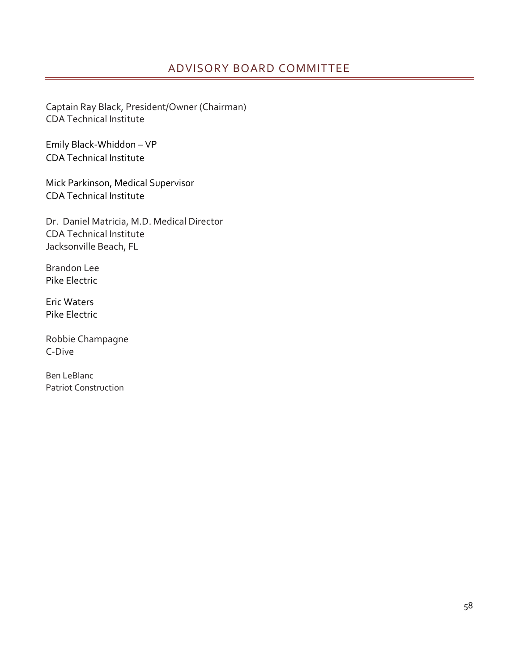<span id="page-63-0"></span>Captain Ray Black, President/Owner (Chairman) CDA Technical Institute

Emily Black-Whiddon – VP CDA Technical Institute

Mick Parkinson, Medical Supervisor CDA Technical Institute

Dr. Daniel Matricia, M.D. Medical Director CDA Technical Institute Jacksonville Beach, FL

Brandon Lee Pike Electric

Eric Waters Pike Electric

Robbie Champagne C-Dive

Ben LeBlanc Patriot Construction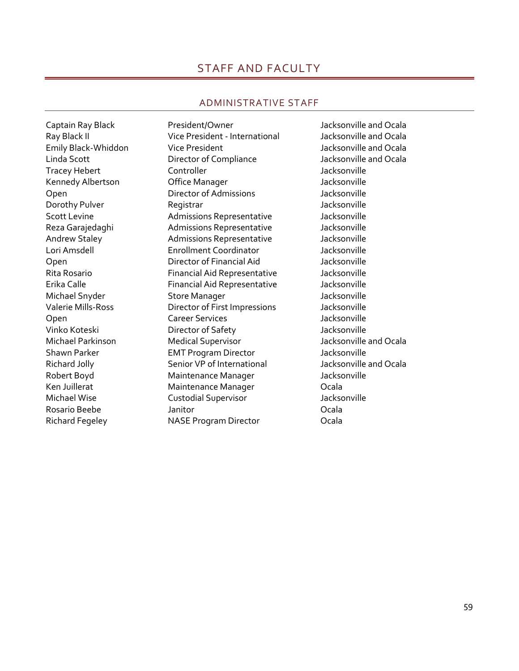## STAFF AND FACULTY

#### ADMINISTRATIVE STAFF

<span id="page-64-1"></span><span id="page-64-0"></span>

Ray Black II Vice President - International Jacksonville and Ocala Emily Black-Whiddon Vice President Jacksonville and Ocala Linda Scott Director of Compliance Jacksonville and Ocala Tracey Hebert **Controller** Controller **Controller Jacksonville** Kennedy Albertson **Company Company** Office Manager **Company 10** Jacksonville Open Director of Admissions Jacksonville Dorothy Pulver **Registrar** Registrar According the State of the Macksonville Scott Levine **Admissions Representative** Jacksonville Reza Garajedaghi **Admissions Representative** Jacksonville Andrew Staley Admissions Representative Jacksonville Lori Amsdell Enrollment Coordinator Jacksonville Open Director of Financial Aid Jacksonville Rita Rosario Financial Aid Representative Jacksonville Erika Calle **Financial Aid Representative** Jacksonville Michael Snyder Store Manager Jacksonville Valerie Mills-Ross Director of First Impressions Jacksonville Open Career Services Jacksonville Vinko Koteski Director of Safety Jacksonville Michael Parkinson Medical Supervisor Jacksonville and Ocala Shawn Parker **EMT Program Director** Jacksonville Richard Jolly **Senior VP** of International Jacksonville and Ocala Robert Boyd **Maintenance Manager** Jacksonville Ken Juillerat **Maintenance Manager** Cala Michael Wise Custodial Supervisor Jacksonville Rosario Beebe Janitor Ocala Richard Fegeley NASE Program Director Ocala

Captain Ray Black **President/Owner President** Alleman and Ocala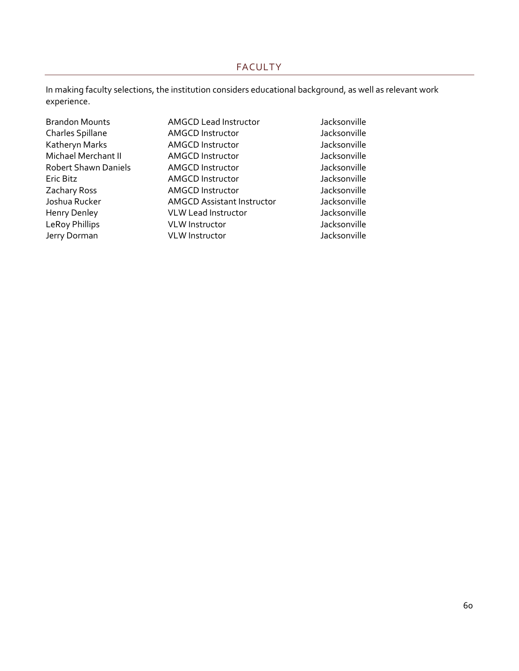#### FACULTY

<span id="page-65-0"></span>In making faculty selections, the institution considers educational background, as well as relevant work experience.

| Brandon Mounts        |
|-----------------------|
| Charles Spillane      |
| Katheryn Marks        |
| Michael Merchant II   |
| Robert Shawn Daniels  |
| Eric Bitz             |
| Zachary Ross          |
| Joshua Rucker         |
| Henry Denley          |
| <b>LeRoy Phillips</b> |
| Jerry Dorman          |
|                       |

- AMGCD Lead Instructor Jacksonville AMGCD Instructor Jacksonville AMGCD Instructor and Jacksonville<br>AMGCD Instructor AMGCD Instructor AMGCD Instructor AMGCD Instructor and Jacksonville<br>AMGCD Instructor AMGCD Instructor AMGCD Instructor and Jacksonville<br>
AMGCD Instructor AMGCD Instructor AMGCD Instructor AMGCD Assistant Instructor Jacksonville VLW Lead Instructor and Jacksonville VLW Instructor and Jacksonville VLW Instructor and Jacksonville
	-